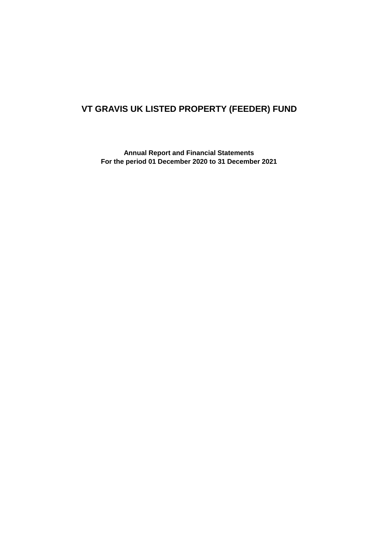# **VT GRAVIS UK LISTED PROPERTY (FEEDER) FUND**

**Annual Report and Financial Statements For the period 01 December 2020 to 31 December 2021**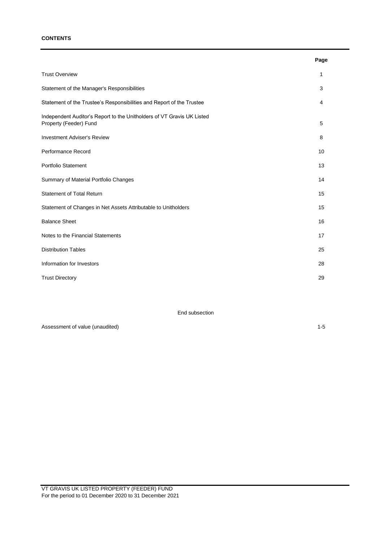### **CONTENTS**

|                                                                                                  | Page |
|--------------------------------------------------------------------------------------------------|------|
| <b>Trust Overview</b>                                                                            | 1    |
| Statement of the Manager's Responsibilities                                                      | 3    |
| Statement of the Trustee's Responsibilities and Report of the Trustee                            | 4    |
| Independent Auditor's Report to the Unitholders of VT Gravis UK Listed<br>Property (Feeder) Fund | 5    |
| <b>Investment Adviser's Review</b>                                                               | 8    |
| Performance Record                                                                               | 10   |
| <b>Portfolio Statement</b>                                                                       | 13   |
| Summary of Material Portfolio Changes                                                            | 14   |
| <b>Statement of Total Return</b>                                                                 | 15   |
| Statement of Changes in Net Assets Attributable to Unitholders                                   | 15   |
| <b>Balance Sheet</b>                                                                             | 16   |
| Notes to the Financial Statements                                                                | 17   |
| <b>Distribution Tables</b>                                                                       | 25   |
| Information for Investors                                                                        | 28   |
| <b>Trust Directory</b>                                                                           | 29   |

End subsection

Assessment of value (unaudited) 1-5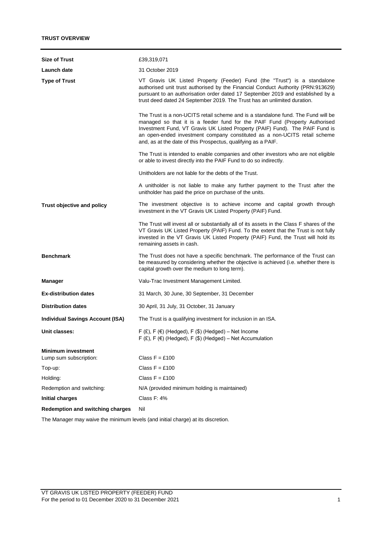| <b>Size of Trust</b>                    | £39,319,071                                                                                                                                                                                                                                                                                                                                                                                   |
|-----------------------------------------|-----------------------------------------------------------------------------------------------------------------------------------------------------------------------------------------------------------------------------------------------------------------------------------------------------------------------------------------------------------------------------------------------|
| Launch date                             | 31 October 2019                                                                                                                                                                                                                                                                                                                                                                               |
| <b>Type of Trust</b>                    | VT Gravis UK Listed Property (Feeder) Fund (the "Trust") is a standalone<br>authorised unit trust authorised by the Financial Conduct Authority (PRN:913629)<br>pursuant to an authorisation order dated 17 September 2019 and established by a<br>trust deed dated 24 September 2019. The Trust has an unlimited duration.                                                                   |
|                                         | The Trust is a non-UCITS retail scheme and is a standalone fund. The Fund will be<br>managed so that it is a feeder fund for the PAIF Fund (Property Authorised<br>Investment Fund, VT Gravis UK Listed Property (PAIF) Fund). The PAIF Fund is<br>an open-ended investment company constituted as a non-UCITS retail scheme<br>and, as at the date of this Prospectus, qualifying as a PAIF. |
|                                         | The Trust is intended to enable companies and other investors who are not eligible<br>or able to invest directly into the PAIF Fund to do so indirectly.                                                                                                                                                                                                                                      |
|                                         | Unitholders are not liable for the debts of the Trust.                                                                                                                                                                                                                                                                                                                                        |
|                                         | A unitholder is not liable to make any further payment to the Trust after the<br>unitholder has paid the price on purchase of the units.                                                                                                                                                                                                                                                      |
| Trust objective and policy              | The investment objective is to achieve income and capital growth through<br>investment in the VT Gravis UK Listed Property (PAIF) Fund.                                                                                                                                                                                                                                                       |
|                                         | The Trust will invest all or substantially all of its assets in the Class F shares of the<br>VT Gravis UK Listed Property (PAIF) Fund. To the extent that the Trust is not fully<br>invested in the VT Gravis UK Listed Property (PAIF) Fund, the Trust will hold its<br>remaining assets in cash.                                                                                            |
| <b>Benchmark</b>                        | The Trust does not have a specific benchmark. The performance of the Trust can<br>be measured by considering whether the objective is achieved (i.e. whether there is<br>capital growth over the medium to long term).                                                                                                                                                                        |
| Manager                                 | Valu-Trac Investment Management Limited.                                                                                                                                                                                                                                                                                                                                                      |
| <b>Ex-distribution dates</b>            | 31 March, 30 June, 30 September, 31 December                                                                                                                                                                                                                                                                                                                                                  |
| <b>Distribution dates</b>               | 30 April, 31 July, 31 October, 31 January                                                                                                                                                                                                                                                                                                                                                     |
| <b>Individual Savings Account (ISA)</b> | The Trust is a qualifying investment for inclusion in an ISA.                                                                                                                                                                                                                                                                                                                                 |
| Unit classes:                           | $F(f)$ , $F(f)$ (Hedged), $F(f)$ (Hedged) – Net Income<br>F $(E)$ , F $(\epsilon)$ (Hedged), F $(\$)$ (Hedged) - Net Accumulation                                                                                                                                                                                                                                                             |
| <b>Minimum investment</b>               |                                                                                                                                                                                                                                                                                                                                                                                               |
| Lump sum subscription:                  | Class $F = £100$                                                                                                                                                                                                                                                                                                                                                                              |
| Top-up:                                 | Class $F = £100$                                                                                                                                                                                                                                                                                                                                                                              |
| Holding:                                | Class $F = £100$                                                                                                                                                                                                                                                                                                                                                                              |
| Redemption and switching:               | N/A (provided minimum holding is maintained)                                                                                                                                                                                                                                                                                                                                                  |
| <b>Initial charges</b>                  | Class F: 4%                                                                                                                                                                                                                                                                                                                                                                                   |
| <b>Redemption and switching charges</b> | Nil                                                                                                                                                                                                                                                                                                                                                                                           |

The Manager may waive the minimum levels (and initial charge) at its discretion.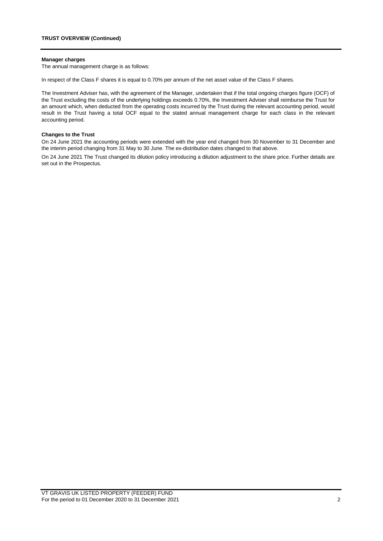#### **Manager charges**

The annual management charge is as follows:

In respect of the Class F shares it is equal to 0.70% per annum of the net asset value of the Class F shares.

The Investment Adviser has, with the agreement of the Manager, undertaken that if the total ongoing charges figure (OCF) of the Trust excluding the costs of the underlying holdings exceeds 0.70%, the Investment Adviser shall reimburse the Trust for an amount which, when deducted from the operating costs incurred by the Trust during the relevant accounting period, would result in the Trust having a total OCF equal to the stated annual management charge for each class in the relevant accounting period.

#### **Changes to the Trust**

On 24 June 2021 the accounting periods were extended with the year end changed from 30 November to 31 December and the interim period changing from 31 May to 30 June. The ex-distribution dates changed to that above.

On 24 June 2021 The Trust changed its dilution policy introducing a dilution adjustment to the share price. Further details are set out in the Prospectus.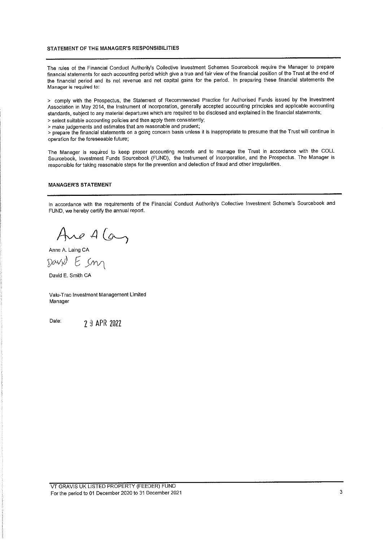## STATEMENT OF THE MANAGER'S RESPONSIBILITIES

The rules of the Financial Conduct Authority's Collective Investment Schemes Sourcebook require the Manager to prepare financial statements for each accounting period which give a true and fair view of the financial position of the Trust at the end of the financial period and its net revenue and net capital gains for the period. In preparing these financial statements the Manager is required to:

> comply with the Prospectus, the Statement of Recommended Practice for Authorised Funds issued by the Investment Association in May 2014, the Instrument of Incorporation, generally accepted accounting principles and applicable accounting standards, subject to any material departures which are required to be disclosed and explained in the financial statements; > select suitable accounting policies and then apply them consistently;

> make judgements and estimates that are reasonable and prudent;

> prepare the financial statements on a going concern basis unless it is inappropriate to presume that the Trust will continue in operation for the foreseeable future:

The Manager is required to keep proper accounting records and to manage the Trust in accordance with the COLL Sourcebook, Investment Funds Sourcebook (FUND), the Instrument of Incorporation, and the Prospectus. The Manager is responsible for taking reasonable steps for the prevention and detection of fraud and other irregularities.

#### **MANAGER'S STATEMENT**

In accordance with the requirements of the Financial Conduct Authority's Collective Investment Scheme's Sourcebook and FUND, we hereby certify the annual report.

Are A Can

David E. Smith CA

Valu-Trac Investment Management Limited Manager

Date:

2 9 APR 2022

VT GRAVIS UK LISTED PROPERTY (FEEDER) FUND For the period to 01 December 2020 to 31 December 2021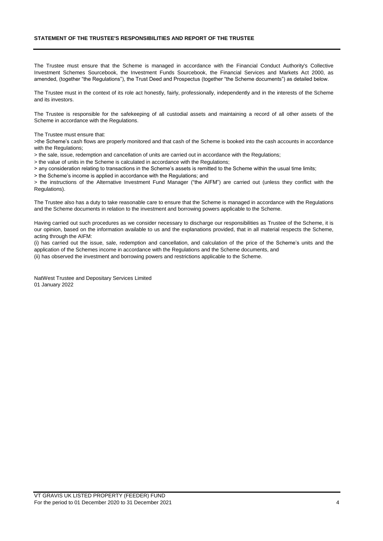## **STATEMENT OF THE TRUSTEE'S RESPONSIBILITIES AND REPORT OF THE TRUSTEE**

The Trustee must ensure that the Scheme is managed in accordance with the Financial Conduct Authority's Collective Investment Schemes Sourcebook, the Investment Funds Sourcebook, the Financial Services and Markets Act 2000, as amended, (together "the Regulations"), the Trust Deed and Prospectus (together "the Scheme documents") as detailed below.

The Trustee must in the context of its role act honestly, fairly, professionally, independently and in the interests of the Scheme and its investors.

The Trustee is responsible for the safekeeping of all custodial assets and maintaining a record of all other assets of the Scheme in accordance with the Regulations.

The Trustee must ensure that:

>the Scheme's cash flows are properly monitored and that cash of the Scheme is booked into the cash accounts in accordance with the Regulations;

> the sale, issue, redemption and cancellation of units are carried out in accordance with the Regulations;

> the value of units in the Scheme is calculated in accordance with the Regulations;

> any consideration relating to transactions in the Scheme's assets is remitted to the Scheme within the usual time limits;

> the Scheme's income is applied in accordance with the Regulations; and

> the instructions of the Alternative Investment Fund Manager ("the AIFM") are carried out (unless they conflict with the Regulations).

The Trustee also has a duty to take reasonable care to ensure that the Scheme is managed in accordance with the Regulations and the Scheme documents in relation to the investment and borrowing powers applicable to the Scheme.

Having carried out such procedures as we consider necessary to discharge our responsibilities as Trustee of the Scheme, it is our opinion, based on the information available to us and the explanations provided, that in all material respects the Scheme, acting through the AIFM:

(i) has carried out the issue, sale, redemption and cancellation, and calculation of the price of the Scheme's units and the application of the Schemes income in accordance with the Regulations and the Scheme documents, and (ii) has observed the investment and borrowing powers and restrictions applicable to the Scheme.

NatWest Trustee and Depositary Services Limited 01 January 2022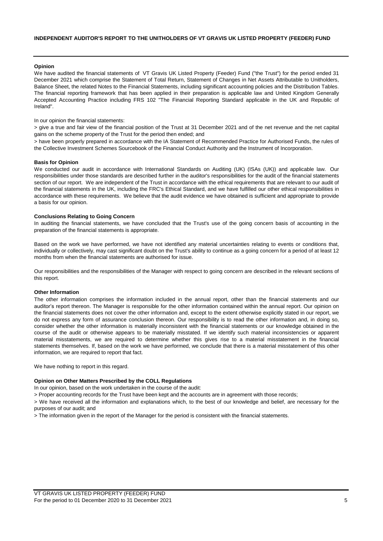### **Opinion**

We have audited the financial statements of VT Gravis UK Listed Property (Feeder) Fund ("the Trust") for the period ended 31 December 2021 which comprise the Statement of Total Return, Statement of Changes in Net Assets Attributable to Unitholders, Balance Sheet, the related Notes to the Financial Statements, including significant accounting policies and the Distribution Tables. The financial reporting framework that has been applied in their preparation is applicable law and United Kingdom Generally Accepted Accounting Practice including FRS 102 "The Financial Reporting Standard applicable in the UK and Republic of Ireland".

In our opinion the financial statements:

> give a true and fair view of the financial position of the Trust at 31 December 2021 and of the net revenue and the net capital gains on the scheme property of the Trust for the period then ended; and

> have been properly prepared in accordance with the IA Statement of Recommended Practice for Authorised Funds, the rules of the Collective Investment Schemes Sourcebook of the Financial Conduct Authority and the Instrument of Incorporation.

#### **Basis for Opinion**

We conducted our audit in accordance with International Standards on Auditing (UK) (ISAs (UK)) and applicable law. Our responsibilities under those standards are described further in the auditor's responsibilities for the audit of the financial statements section of our report. We are independent of the Trust in accordance with the ethical requirements that are relevant to our audit of the financial statements in the UK, including the FRC's Ethical Standard, and we have fulfilled our other ethical responsibilities in accordance with these requirements. We believe that the audit evidence we have obtained is sufficient and appropriate to provide a basis for our opinion.

### **Conclusions Relating to Going Concern**

In auditing the financial statements, we have concluded that the Trust's use of the going concern basis of accounting in the preparation of the financial statements is appropriate.

Based on the work we have performed, we have not identified any material uncertainties relating to events or conditions that, individually or collectively, may cast significant doubt on the Trust's ability to continue as a going concern for a period of at least 12 months from when the financial statements are authorised for issue.

Our responsibilities and the responsibilities of the Manager with respect to going concern are described in the relevant sections of this report.

#### **Other Information**

The other information comprises the information included in the annual report, other than the financial statements and our auditor's report thereon. The Manager is responsible for the other information contained within the annual report. Our opinion on the financial statements does not cover the other information and, except to the extent otherwise explicitly stated in our report, we do not express any form of assurance conclusion thereon. Our responsibility is to read the other information and, in doing so, consider whether the other information is materially inconsistent with the financial statements or our knowledge obtained in the course of the audit or otherwise appears to be materially misstated. If we identify such material inconsistencies or apparent material misstatements, we are required to determine whether this gives rise to a material misstatement in the financial statements themselves. If, based on the work we have performed, we conclude that there is a material misstatement of this other information, we are required to report that fact.

We have nothing to report in this regard.

#### **Opinion on Other Matters Prescribed by the COLL Regulations**

In our opinion, based on the work undertaken in the course of the audit:

> Proper accounting records for the Trust have been kept and the accounts are in agreement with those records;

> We have received all the information and explanations which, to the best of our knowledge and belief, are necessary for the purposes of our audit; and

> The information given in the report of the Manager for the period is consistent with the financial statements.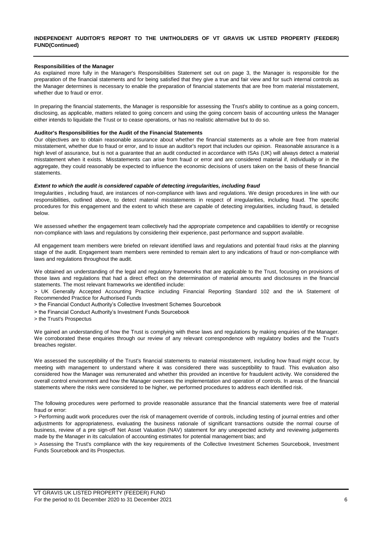#### **Responsibilities of the Manager**

As explained more fully in the Manager's Responsibilities Statement set out on page 3, the Manager is responsible for the preparation of the financial statements and for being satisfied that they give a true and fair view and for such internal controls as the Manager determines is necessary to enable the preparation of financial statements that are free from material misstatement, whether due to fraud or error.

In preparing the financial statements, the Manager is responsible for assessing the Trust's ability to continue as a going concern, disclosing, as applicable, matters related to going concern and using the going concern basis of accounting unless the Manager either intends to liquidate the Trust or to cease operations, or has no realistic alternative but to do so.

#### **Auditor's Responsibilities for the Audit of the Financial Statements**

Our objectives are to obtain reasonable assurance about whether the financial statements as a whole are free from material misstatement, whether due to fraud or error, and to issue an auditor's report that includes our opinion. Reasonable assurance is a high level of assurance, but is not a guarantee that an audit conducted in accordance with ISAs (UK) will always detect a material misstatement when it exists. Misstatements can arise from fraud or error and are considered material if, individually or in the aggregate, they could reasonably be expected to influence the economic decisions of users taken on the basis of these financial statements.

#### *Extent to which the audit is considered capable of detecting irregularities, including fraud*

Irregularities , including fraud, are instances of non-compliance with laws and regulations. We design procedures in line with our responsibilities, outlined above, to detect material misstatements in respect of irregularities, including fraud. The specific procedures for this engagement and the extent to which these are capable of detecting irregularities, including fraud, is detailed below.

We assessed whether the engagement team collectively had the appropriate competence and capabilities to identify or recognise non-compliance with laws and regulations by considering their experience, past performance and support available.

All engagement team members were briefed on relevant identified laws and regulations and potential fraud risks at the planning stage of the audit. Engagement team members were reminded to remain alert to any indications of fraud or non-compliance with laws and regulations throughout the audit.

We obtained an understanding of the legal and regulatory frameworks that are applicable to the Trust, focusing on provisions of those laws and regulations that had a direct effect on the determination of material amounts and disclosures in the financial statements. The most relevant frameworks we identified include:

> UK Generally Accepted Accounting Practice including Financial Reporting Standard 102 and the IA Statement of Recommended Practice for Authorised Funds

> the Financial Conduct Authority's Collective Investment Schemes Sourcebook

> the Financial Conduct Authority's Investment Funds Sourcebook

> the Trust's Prospectus

We gained an understanding of how the Trust is complying with these laws and regulations by making enquiries of the Manager. We corroborated these enquiries through our review of any relevant correspondence with regulatory bodies and the Trust's breaches register.

We assessed the susceptibility of the Trust's financial statements to material misstatement, including how fraud might occur, by meeting with management to understand where it was considered there was susceptibility to fraud. This evaluation also considered how the Manager was remunerated and whether this provided an incentive for fraudulent activity. We considered the overall control environment and how the Manager oversees the implementation and operation of controls. In areas of the financial statements where the risks were considered to be higher, we performed procedures to address each identified risk.

The following procedures were performed to provide reasonable assurance that the financial statements were free of material fraud or error:

> Performing audit work procedures over the risk of management override of controls, including testing of journal entries and other adjustments for appropriateness, evaluating the business rationale of significant transactions outside the normal course of business, review of a pre sign-off Net Asset Valuation (NAV) statement for any unexpected activity and reviewing judgements made by the Manager in its calculation of accounting estimates for potential management bias; and

> Assessing the Trust's compliance with the key requirements of the Collective Investment Schemes Sourcebook, Investment Funds Sourcebook and its Prospectus.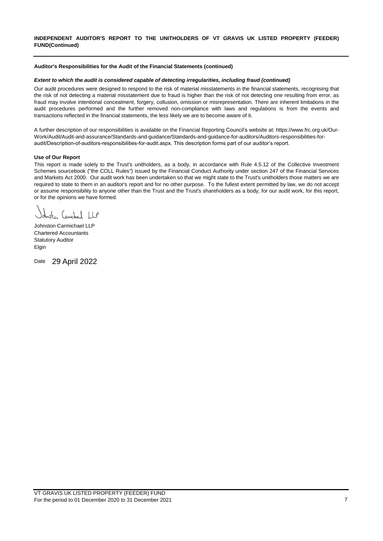### **Auditor's Responsibilities for the Audit of the Financial Statements (continued)**

### *Extent to which the audit is considered capable of detecting irregularities, including fraud (continued)*

Our audit procedures were designed to respond to the risk of material misstatements in the financial statements, recognising that the risk of not detecting a material misstatement due to fraud is higher than the risk of not detecting one resulting from error, as fraud may involve intentional concealment, forgery, collusion, omission or misrepresentation. There are inherent limitations in the audit procedures performed and the further removed non-compliance with laws and regulations is from the events and transactions reflected in the financial statements, the less likely we are to become aware of it.

A further description of our responsibilities is available on the Financial Reporting Council's website at: https://www.frc.org.uk/Our-Work/Audit/Audit-and-assurance/Standards-and-guidance/Standards-and-guidance-for-auditors/Auditors-responsibilities-foraudit/Description-of-auditors-responsibilities-for-audit.aspx. This description forms part of our auditor's report.

#### **Use of Our Report**

This report is made solely to the Trust's unitholders, as a body, in accordance with Rule 4.5.12 of the Collective Investment Schemes sourcebook ("the COLL Rules") issued by the Financial Conduct Authority under section 247 of the Financial Services and Markets Act 2000. Our audit work has been undertaken so that we might state to the Trust's unitholders those matters we are required to state to them in an auditor's report and for no other purpose. To the fullest extent permitted by law, we do not accept or assume responsibility to anyone other than the Trust and the Trust's shareholders as a body, for our audit work, for this report, or for the opinions we have formed.

ste Carichael LP

Johnston Carmichael LLP Chartered Accountants Statutory Auditor Elgin

Date 29 April 2022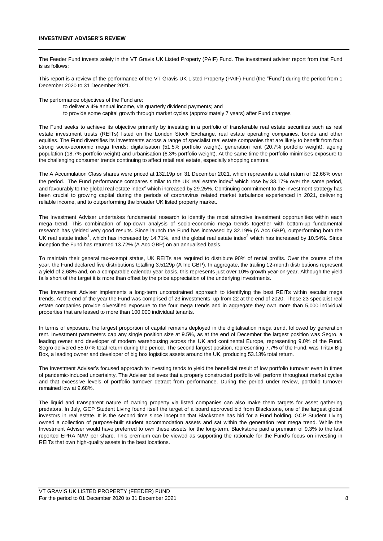The Feeder Fund invests solely in the VT Gravis UK Listed Property (PAIF) Fund. The investment adviser report from that Fund is as follows:

This report is a review of the performance of the VT Gravis UK Listed Property (PAIF) Fund (the "Fund") during the period from 1 December 2020 to 31 December 2021.

The performance objectives of the Fund are:

- to deliver a 4% annual income, via quarterly dividend payments; and
- to provide some capital growth through market cycles (approximately 7 years) after Fund charges

The Fund seeks to achieve its objective primarily by investing in a portfolio of transferable real estate securities such as real estate investment trusts (REITs) listed on the London Stock Exchange, real estate operating companies, bonds and other equities. The Fund diversifies its investments across a range of specialist real estate companies that are likely to benefit from four strong socio-economic mega trends: digitalisation (51.5% portfolio weight), generation rent (20.7% portfolio weight), ageing population (18.7% portfolio weight) and urbanisation (6.3% portfolio weight). At the same time the portfolio minimises exposure to the challenging consumer trends continuing to affect retail real estate, especially shopping centres.

The A Accumulation Class shares were priced at 132.19p on 31 December 2021, which represents a total return of 32.66% over the period. The Fund performance compares similar to the UK real estate index<sup>1</sup> which rose by 33.17% over the same period, and favourably to the global real estate index $2$  which increased by 29.25%. Continuing commitment to the investment strategy has been crucial to growing capital during the periods of coronavirus related market turbulence experienced in 2021, delivering reliable income, and to outperforming the broader UK listed property market.

The Investment Adviser undertakes fundamental research to identify the most attractive investment opportunities within each mega trend. This combination of top-down analysis of socio-economic mega trends together with bottom-up fundamental research has yielded very good results. Since launch the Fund has increased by 32.19% (A Acc GBP), outperforming both the UK real estate index<sup>1</sup>, which has increased by 14.71%, and the global real estate index<sup>2</sup> which has increased by 10.54%. Since inception the Fund has returned 13.72% (A Acc GBP) on an annualised basis.

To maintain their general tax-exempt status, UK REITs are required to distribute 90% of rental profits. Over the course of the year, the Fund declared five distributions totalling 3.5129p (A Inc GBP). In aggregate, the trailing 12-month distributions represent a yield of 2.68% and, on a comparable calendar year basis, this represents just over 10% growth year-on-year. Although the yield falls short of the target it is more than offset by the price appreciation of the underlying investments.

The Investment Adviser implements a long-term unconstrained approach to identifying the best REITs within secular mega trends. At the end of the year the Fund was comprised of 23 investments, up from 22 at the end of 2020. These 23 specialist real estate companies provide diversified exposure to the four mega trends and in aggregate they own more than 5,000 individual properties that are leased to more than 100,000 individual tenants.

In terms of exposure, the largest proportion of capital remains deployed in the digitalisation mega trend, followed by generation rent. Investment parameters cap any single position size at 9.5%, as at the end of December the largest position was Segro, a leading owner and developer of modern warehousing across the UK and continental Europe, representing 9.0% of the Fund. Segro delivered 55.07% total return during the period. The second largest position, representing 7.7% of the Fund, was Tritax Big Box, a leading owner and developer of big box logistics assets around the UK, producing 53.13% total return.

The Investment Adviser's focused approach to investing tends to yield the beneficial result of low portfolio turnover even in times of pandemic-induced uncertainty. The Adviser believes that a properly constructed portfolio will perform throughout market cycles and that excessive levels of portfolio turnover detract from performance. During the period under review, portfolio turnover remained low at 9.68%.

The liquid and transparent nature of owning property via listed companies can also make them targets for asset gathering predators. In July, GCP Student Living found itself the target of a board approved bid from Blackstone, one of the largest global investors in real estate. It is the second time since inception that Blackstone has bid for a Fund holding. GCP Student Living owned a collection of purpose-built student accommodation assets and sat within the generation rent mega trend. While the Investment Adviser would have preferred to own these assets for the long-term, Blackstone paid a premium of 9.3% to the last reported EPRA NAV per share. This premium can be viewed as supporting the rationale for the Fund's focus on investing in REITs that own high-quality assets in the best locations.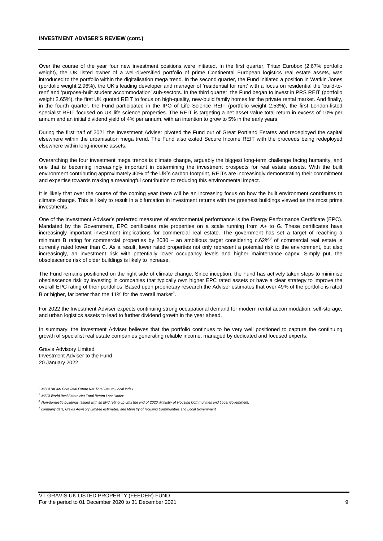#### **INVESTMENT ADVISER'S REVIEW (cont.)**

Over the course of the year four new investment positions were initiated. In the first quarter, Tritax Eurobox (2.67% portfolio weight), the UK listed owner of a well-diversified portfolio of prime Continental European logistics real estate assets, was introduced to the portfolio within the digitalisation mega trend. In the second quarter, the Fund initiated a position in Watkin Jones (portfolio weight 2.96%), the UK's leading developer and manager of 'residential for rent' with a focus on residential the 'build-torent' and 'purpose-built student accommodation' sub-sectors. In the third quarter, the Fund began to invest in PRS REIT (portfolio weight 2.65%), the first UK quoted REIT to focus on high-quality, new-build family homes for the private rental market. And finally, in the fourth quarter, the Fund participated in the IPO of Life Science REIT (portfolio weight 2.53%), the first London-listed specialist REIT focused on UK life science properties. The REIT is targeting a net asset value total return in excess of 10% per annum and an initial dividend yield of 4% per annum, with an intention to grow to 5% in the early years.

During the first half of 2021 the Investment Adviser pivoted the Fund out of Great Portland Estates and redeployed the capital elsewhere within the urbanisation mega trend. The Fund also exited Secure Income REIT with the proceeds being redeployed elsewhere within long-income assets.

Overarching the four investment mega trends is climate change, arguably the biggest long-term challenge facing humanity, and one that is becoming increasingly important in determining the investment prospects for real estate assets. With the built environment contributing approximately 40% of the UK's carbon footprint, REITs are increasingly demonstrating their commitment and expertise towards making a meaningful contribution to reducing this environmental impact.

It is likely that over the course of the coming year there will be an increasing focus on how the built environment contributes to climate change. This is likely to result in a bifurcation in investment returns with the greenest buildings viewed as the most prime investments.

One of the Investment Adviser's preferred measures of environmental performance is the Energy Performance Certificate (EPC). Mandated by the Government, EPC certificates rate properties on a scale running from A+ to G. These certificates have increasingly important investment implications for commercial real estate. The government has set a target of reaching a minimum B rating for commercial properties by 2030 – an ambitious target considering  $c.62\%$ <sup>3</sup> of commercial real estate is currently rated lower than C. As a result, lower rated properties not only represent a potential risk to the environment, but also increasingly, an investment risk with potentially lower occupancy levels and higher maintenance capex. Simply put, the obsolescence risk of older buildings is likely to increase.

The Fund remains positioned on the right side of climate change. Since inception, the Fund has actively taken steps to minimise obsolescence risk by investing in companies that typically own higher EPC rated assets or have a clear strategy to improve the overall EPC rating of their portfolios. Based upon proprietary research the Adviser estimates that over 49% of the portfolio is rated B or higher, far better than the 11% for the overall market $^4$ .

For 2022 the Investment Adviser expects continuing strong occupational demand for modern rental accommodation, self-storage, and urban logistics assets to lead to further dividend growth in the year ahead.

In summary, the Investment Adviser believes that the portfolio continues to be very well positioned to capture the continuing growth of specialist real estate companies generating reliable income, managed by dedicated and focused experts.

Gravis Advisory Limited Investment Adviser to the Fund 20 January 2022

*<sup>1</sup> MSCI UK IMI Core Real Estate Net Total Return Local index.* 

*<sup>2</sup> MSCI World Real Estate Net Total Return Local index.* 

*<sup>3</sup> Non-domestic buildings issued with an EPC rating up until the end of 2020, Ministry of Housing Communities and Local Government.*

*<sup>4</sup>company data, Gravis Advisory Limited estimates, and Ministry of Housing Communities and Local Government*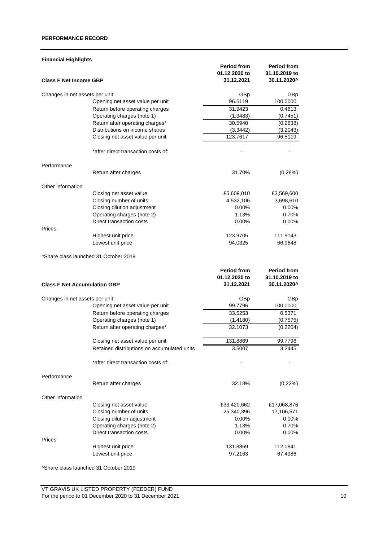## **PERFORMANCE RECORD**

| <b>Financial Highlights</b>         |                                             |                    |                    |
|-------------------------------------|---------------------------------------------|--------------------|--------------------|
|                                     |                                             | <b>Period from</b> | <b>Period from</b> |
|                                     |                                             | 01.12.2020 to      | 31.10.2019 to      |
| <b>Class F Net Income GBP</b>       |                                             | 31.12.2021         | 30.11.2020^        |
| Changes in net assets per unit      |                                             | GBp                | GBp                |
|                                     | Opening net asset value per unit            | 96.5119            | 100.0000           |
|                                     | Return before operating charges             | 31.9423            | 0.4613             |
|                                     | Operating charges (note 1)                  | (1.3483)           | (0.7451)           |
|                                     | Return after operating charges*             | 30.5940            | (0.2838)           |
|                                     | Distributions on income shares              | (3.3442)           | (3.2043)           |
|                                     | Closing net asset value per unit            | 123.7617           | 96.5119            |
|                                     | *after direct transaction costs of:         |                    |                    |
| Performance                         |                                             |                    |                    |
|                                     | Return after charges                        | 31.70%             | (0.28%)            |
| Other information                   |                                             |                    |                    |
|                                     | Closing net asset value                     | £5,609,010         | £3,569,600         |
|                                     | Closing number of units                     | 4,532,106          | 3,698,610          |
|                                     | Closing dilution adjustment                 | 0.00%              | 0.00%              |
|                                     | Operating charges (note 2)                  | 1.13%              | 0.70%              |
|                                     | Direct transaction costs                    | $0.00\%$           | 0.00%              |
| Prices                              |                                             |                    |                    |
|                                     | Highest unit price                          | 123.9705           | 111.9143           |
|                                     | Lowest unit price                           | 94.0325            | 66.9648            |
|                                     | ^Share class launched 31 October 2019       |                    |                    |
|                                     |                                             | <b>Period from</b> | <b>Period from</b> |
|                                     |                                             | 01.12.2020 to      | 31.10.2019 to      |
| <b>Class F Net Accumulation GBP</b> |                                             | 31.12.2021         | 30.11.2020^        |
| Changes in net assets per unit      |                                             | GBp                | GBp                |
|                                     | Opening net asset value per unit            | 99.7796            | 100.0000           |
|                                     | Return before operating charges             | 33.5253            | 0.5371             |
|                                     | Operating charges (note 1)                  | (1.4180)           | (0.7575)           |
|                                     | Return after operating charges*             | 32.1073            | (0.2204)           |
|                                     | Closing net asset value per unit            | 131.8869           | 99.7796            |
|                                     | Retained distributions on accumulated units | 3.5007             | 3.2445             |
|                                     | *after direct transaction costs of:         |                    |                    |
| Performance                         |                                             |                    |                    |
|                                     | Return after charges                        | 32.18%             | (0.22%)            |
| Other information                   |                                             |                    |                    |
|                                     | Closing net asset value                     | £33,420,662        | £17,068,876        |
|                                     | Closing number of units                     | 25,340,396         | 17,106,571         |
|                                     | Closing dilution adjustment                 | 0.00%              | $0.00\%$           |
|                                     | Operating charges (note 2)                  | 1.13%              | 0.70%              |
|                                     | Direct transaction costs                    | $0.00\%$           | $0.00\%$           |
| Prices                              |                                             |                    |                    |
|                                     | Highest unit price                          | 131.8869           | 112.0841           |
|                                     | Lowest unit price                           | 97.2163            | 67.4986            |
|                                     |                                             |                    |                    |

^Share class launched 31 October 2019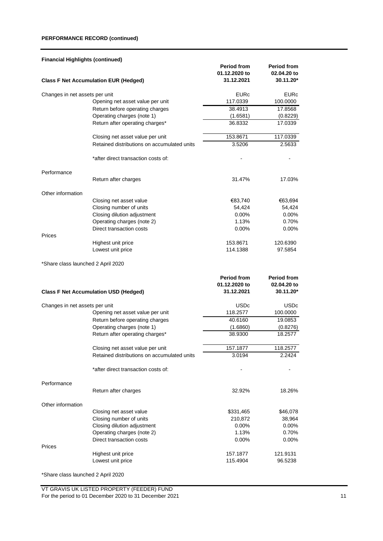## **PERFORMANCE RECORD (continued)**

| <b>Financial Highlights (continued)</b> |                                              |               |                    |
|-----------------------------------------|----------------------------------------------|---------------|--------------------|
|                                         |                                              | Period from   | <b>Period from</b> |
|                                         |                                              | 01.12.2020 to | 02.04.20 to        |
|                                         | <b>Class F Net Accumulation EUR (Hedged)</b> | 31.12.2021    | 30.11.20*          |
|                                         |                                              |               |                    |
| Changes in net assets per unit          |                                              | <b>EURc</b>   | <b>EURc</b>        |
|                                         | Opening net asset value per unit             | 117.0339      | 100.0000           |
|                                         | Return before operating charges              | 38.4913       | 17.8568            |
|                                         | Operating charges (note 1)                   | (1.6581)      | (0.8229)           |
|                                         | Return after operating charges*              | 36.8332       | 17.0339            |
|                                         | Closing net asset value per unit             | 153.8671      | 117.0339           |
|                                         | Retained distributions on accumulated units  | 3.5206        | 2.5633             |
|                                         | *after direct transaction costs of:          |               |                    |
| Performance                             |                                              |               |                    |
|                                         | Return after charges                         | 31.47%        | 17.03%             |
|                                         |                                              |               |                    |
| Other information                       |                                              |               |                    |
|                                         | Closing net asset value                      | €83,740       | €63,694            |
|                                         | Closing number of units                      | 54,424        | 54,424             |
|                                         | Closing dilution adjustment                  | $0.00\%$      | 0.00%              |
|                                         | Operating charges (note 2)                   | 1.13%         | 0.70%              |
|                                         | Direct transaction costs                     | $0.00\%$      | $0.00\%$           |
| Prices                                  |                                              |               |                    |
|                                         | Highest unit price                           | 153.8671      | 120.6390           |
|                                         | Lowest unit price                            | 114.1388      | 97.5854            |
| *Share class launched 2 April 2020      |                                              |               |                    |
|                                         |                                              |               |                    |
|                                         |                                              | Period from   | <b>Period from</b> |
|                                         |                                              | 01.12.2020 to | 02.04.20 to        |
|                                         | <b>Class F Net Accumulation USD (Hedged)</b> | 31.12.2021    | 30.11.20*          |
| Changes in net assets per unit          |                                              | <b>USDc</b>   | <b>USDc</b>        |
|                                         | Opening net asset value per unit             | 118.2577      | 100.0000           |
|                                         | Return before operating charges              | 40.6160       | 19.0853            |
|                                         | Operating charges (note 1)                   | (1.6860)      | (0.8276)           |
|                                         | Return after operating charges*              | 38.9300       | 18.2577            |
|                                         |                                              |               |                    |
|                                         | Closing net asset value per unit             | 157.1877      | 118.2577           |
|                                         | Retained distributions on accumulated units  | 3.0194        | 2.2424             |
|                                         | *after direct transaction costs of:          |               |                    |
| Performance                             |                                              |               |                    |
|                                         | Return after charges                         | 32.92%        | 18.26%             |
| Other information                       |                                              |               |                    |
|                                         | Closing net asset value                      | \$331,465     | \$46,078           |
|                                         | Closing number of units                      | 210,872       | 38,964             |
|                                         | Closing dilution adjustment                  | 0.00%         | 0.00%              |
|                                         |                                              |               |                    |
|                                         | Operating charges (note 2)                   | 1.13%         | 0.70%              |
| Prices                                  | Direct transaction costs                     | 0.00%         | 0.00%              |
|                                         | Highest unit price                           | 157.1877      | 121.9131           |
|                                         | Lowest unit price                            | 115.4904      | 96.5238            |
|                                         |                                              |               |                    |
|                                         |                                              |               |                    |

\*Share class launched 2 April 2020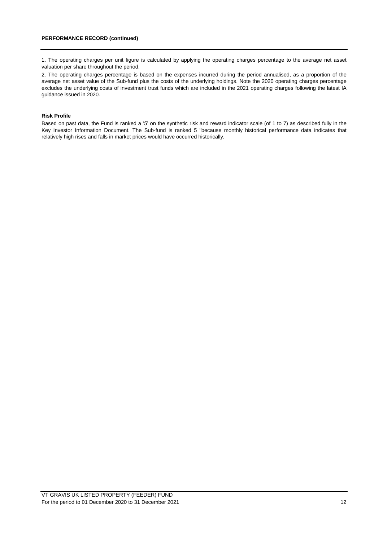1. The operating charges per unit figure is calculated by applying the operating charges percentage to the average net asset valuation per share throughout the period.

2. The operating charges percentage is based on the expenses incurred during the period annualised, as a proportion of the average net asset value of the Sub-fund plus the costs of the underlying holdings. Note the 2020 operating charges percentage excludes the underlying costs of investment trust funds which are included in the 2021 operating charges following the latest IA guidance issued in 2020.

## **Risk Profile**

Based on past data, the Fund is ranked a '5' on the synthetic risk and reward indicator scale (of 1 to 7) as described fully in the Key Investor Information Document. The Sub-fund is ranked 5 "because monthly historical performance data indicates that relatively high rises and falls in market prices would have occurred historically.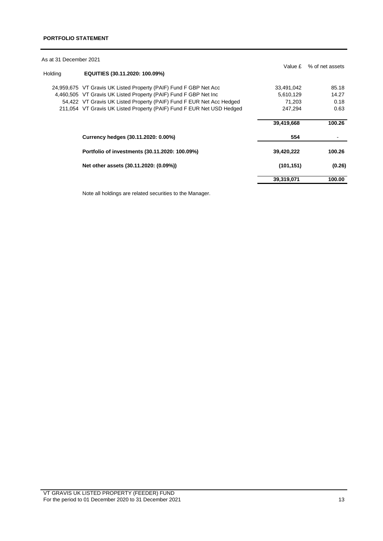As at 31 December 2021

|         |                                                                       | Value £    | % of net assets |
|---------|-----------------------------------------------------------------------|------------|-----------------|
| Holding | EQUITIES (30.11.2020: 100.09%)                                        |            |                 |
|         | 24,959,675 VT Gravis UK Listed Property (PAIF) Fund F GBP Net Acc     | 33,491,042 | 85.18           |
|         | 4,460,505 VT Gravis UK Listed Property (PAIF) Fund F GBP Net Inc      | 5,610,129  | 14.27           |
|         | 54,422 VT Gravis UK Listed Property (PAIF) Fund F EUR Net Acc Hedged  | 71,203     | 0.18            |
|         | 211,054 VT Gravis UK Listed Property (PAIF) Fund F EUR Net USD Hedged | 247.294    | 0.63            |
|         |                                                                       | 39,419,668 | 100.26          |
|         | Currency hedges (30.11.2020: 0.00%)                                   | 554        |                 |
|         | Portfolio of investments (30.11.2020: 100.09%)                        | 39,420,222 | 100.26          |
|         | Net other assets (30.11.2020: (0.09%))                                | (101, 151) | (0.26)          |
|         |                                                                       | 39,319,071 | 100.00          |

Note all holdings are related securities to the Manager.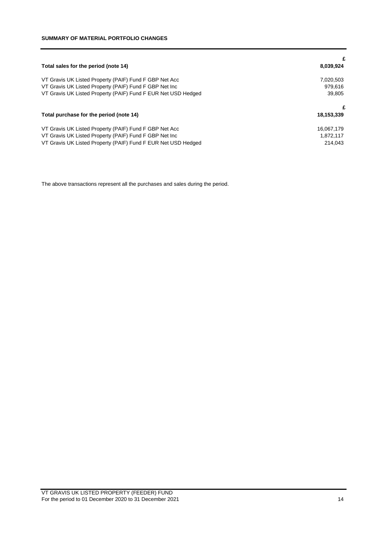|                                                               | £          |
|---------------------------------------------------------------|------------|
| Total sales for the period (note 14)                          | 8,039,924  |
| VT Gravis UK Listed Property (PAIF) Fund F GBP Net Acc        | 7,020,503  |
| VT Gravis UK Listed Property (PAIF) Fund F GBP Net Inc        | 979.616    |
| VT Gravis UK Listed Property (PAIF) Fund F EUR Net USD Hedged | 39.805     |
|                                                               | £          |
| Total purchase for the period (note 14)                       | 18,153,339 |
| VT Gravis UK Listed Property (PAIF) Fund F GBP Net Acc        | 16,067,179 |
| VT Gravis UK Listed Property (PAIF) Fund F GBP Net Inc        | 1,872,117  |
| VT Gravis UK Listed Property (PAIF) Fund F EUR Net USD Hedged | 214.043    |

The above transactions represent all the purchases and sales during the period.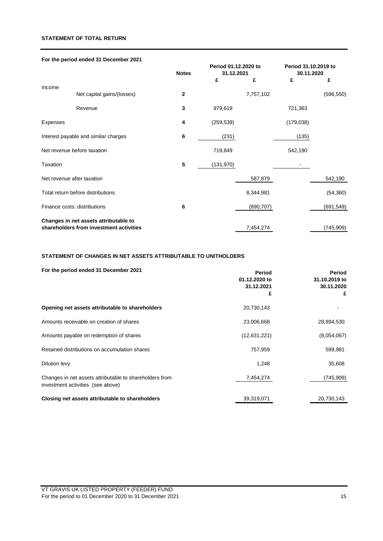## **STATEMENT OF TOTAL RETURN**

|  | For the period ended 31 December 2021 |
|--|---------------------------------------|
|--|---------------------------------------|

|                 |                                         | <b>Notes</b> | Period 01.12.2020 to<br>31.12.2021 |            | Period 31.10.2019 to<br>30.11.2020 |            |
|-----------------|-----------------------------------------|--------------|------------------------------------|------------|------------------------------------|------------|
|                 |                                         |              | £                                  | £          | £                                  | £          |
| Income          | Net capital gains/(losses)              | $\mathbf{2}$ |                                    | 7,757,102  |                                    | (596, 550) |
|                 | Revenue                                 | 3            | 979,619                            |            | 721,363                            |            |
| Expenses        |                                         | 4            | (259, 539)                         |            | (179, 038)                         |            |
|                 | Interest payable and similar charges    | 6            | (231)                              |            | (135)                              |            |
|                 | Net revenue before taxation             |              | 719,849                            |            | 542,190                            |            |
| <b>Taxation</b> |                                         | 5            | (131, 970)                         |            |                                    |            |
|                 | Net revenue after taxation              |              |                                    | 587,879    |                                    | 542,190    |
|                 | Total return before distributions       |              |                                    | 8,344,981  |                                    | (54, 360)  |
|                 | Finance costs: distributions            | 6            |                                    | (890, 707) |                                    | (691, 549) |
|                 | Changes in net assets attributable to   |              |                                    |            |                                    |            |
|                 | shareholders from investment activities |              |                                    | 7,454,274  |                                    | (745,909)  |

## **STATEMENT OF CHANGES IN NET ASSETS ATTRIBUTABLE TO UNITHOLDERS**

| For the period ended 31 December 2021                                                        | Period<br>01.12.2020 to<br>31.12.2021<br>£ | Period<br>31.10.2019 to<br>30.11.2020<br>£ |
|----------------------------------------------------------------------------------------------|--------------------------------------------|--------------------------------------------|
| Opening net assets attributable to shareholders                                              | 20,730,143                                 |                                            |
| Amounts receivable on creation of shares                                                     | 23,006,668                                 | 28,894,530                                 |
| Amounts payable on redemption of shares                                                      | (12,631,221)                               | (8,054,067)                                |
| Retained distributions on accumulation shares                                                | 757,959                                    | 599,981                                    |
| Dilution levy                                                                                | 1,248                                      | 35,608                                     |
| Changes in net assets attributable to shareholders from<br>investment activities (see above) | 7,454,274                                  | (745,909)                                  |
| Closing net assets attributable to shareholders                                              | 39,319,071                                 | 20,730,143                                 |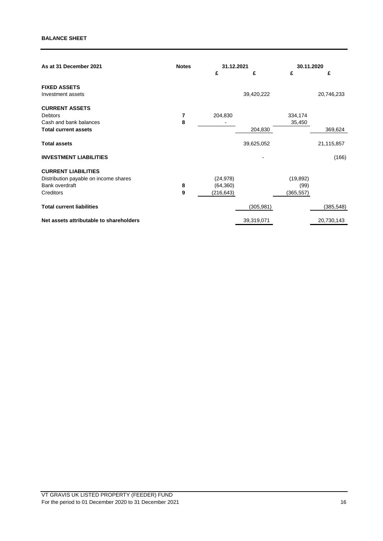## **BALANCE SHEET**

| As at 31 December 2021                  | <b>Notes</b> | 31.12.2021 |            | 30.11.2020 |            |
|-----------------------------------------|--------------|------------|------------|------------|------------|
|                                         |              | £          | £          | £          | £          |
| <b>FIXED ASSETS</b>                     |              |            |            |            |            |
| Investment assets                       |              |            | 39,420,222 |            | 20,746,233 |
| <b>CURRENT ASSETS</b>                   |              |            |            |            |            |
| Debtors                                 | 7            | 204,830    |            | 334,174    |            |
| Cash and bank balances                  | 8            |            |            | 35,450     |            |
| <b>Total current assets</b>             |              |            | 204,830    |            | 369,624    |
| <b>Total assets</b>                     |              |            | 39,625,052 |            | 21,115,857 |
| <b>INVESTMENT LIABILITIES</b>           |              |            |            |            | (166)      |
| <b>CURRENT LIABILITIES</b>              |              |            |            |            |            |
| Distribution payable on income shares   |              | (24, 978)  |            | (19, 892)  |            |
| Bank overdraft                          | 8            | (64, 360)  |            | (99)       |            |
| Creditors                               | 9            | (216, 643) |            | (365, 557) |            |
| <b>Total current liabilities</b>        |              |            | (305, 981) |            | (385, 548) |
| Net assets attributable to shareholders |              |            | 39,319,071 |            | 20,730,143 |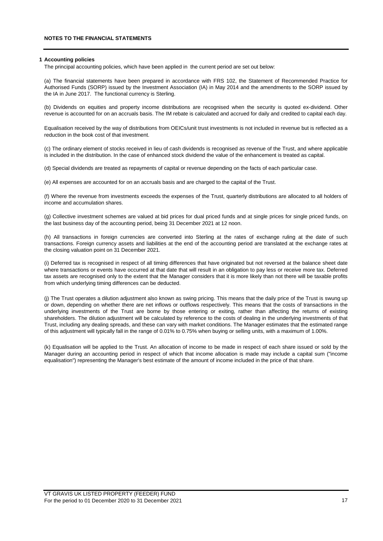#### **1 Accounting policies**

The principal accounting policies, which have been applied in the current period are set out below:

(a) The financial statements have been prepared in accordance with FRS 102, the Statement of Recommended Practice for Authorised Funds (SORP) issued by the Investment Association (IA) in May 2014 and the amendments to the SORP issued by the IA in June 2017. The functional currency is Sterling.

(b) Dividends on equities and property income distributions are recognised when the security is quoted ex-dividend. Other revenue is accounted for on an accruals basis. The IM rebate is calculated and accrued for daily and credited to capital each day.

Equalisation received by the way of distributions from OEICs/unit trust investments is not included in revenue but is reflected as a reduction in the book cost of that investment.

(c) The ordinary element of stocks received in lieu of cash dividends is recognised as revenue of the Trust, and where applicable is included in the distribution. In the case of enhanced stock dividend the value of the enhancement is treated as capital.

(d) Special dividends are treated as repayments of capital or revenue depending on the facts of each particular case.

(e) All expenses are accounted for on an accruals basis and are charged to the capital of the Trust.

(f) Where the revenue from investments exceeds the expenses of the Trust, quarterly distributions are allocated to all holders of income and accumulation shares.

(g) Collective investment schemes are valued at bid prices for dual priced funds and at single prices for single priced funds, on the last business day of the accounting period, being 31 December 2021 at 12 noon.

(h) All transactions in foreign currencies are converted into Sterling at the rates of exchange ruling at the date of such transactions. Foreign currency assets and liabilities at the end of the accounting period are translated at the exchange rates at the closing valuation point on 31 December 2021.

(i) Deferred tax is recognised in respect of all timing differences that have originated but not reversed at the balance sheet date where transactions or events have occurred at that date that will result in an obligation to pay less or receive more tax. Deferred tax assets are recognised only to the extent that the Manager considers that it is more likely than not there will be taxable profits from which underlying timing differences can be deducted.

(j) The Trust operates a dilution adjustment also known as swing pricing. This means that the daily price of the Trust is swung up or down, depending on whether there are net inflows or outflows respectively. This means that the costs of transactions in the underlying investments of the Trust are borne by those entering or exiting, rather than affecting the returns of existing shareholders. The dilution adjustment will be calculated by reference to the costs of dealing in the underlying investments of that Trust, including any dealing spreads, and these can vary with market conditions. The Manager estimates that the estimated range of this adjustment will typically fall in the range of 0.01% to 0.75% when buying or selling units, with a maximum of 1.00%.

(k) Equalisation will be applied to the Trust. An allocation of income to be made in respect of each share issued or sold by the Manager during an accounting period in respect of which that income allocation is made may include a capital sum ("income equalisation") representing the Manager's best estimate of the amount of income included in the price of that share.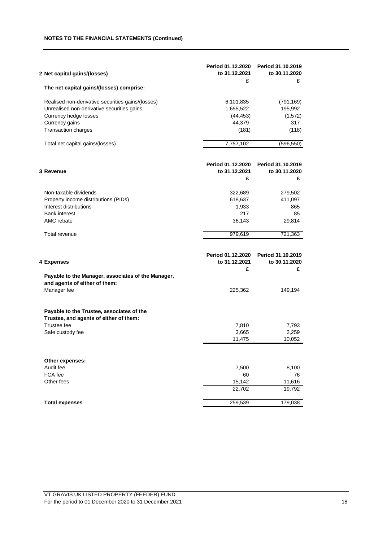## **NOTES TO THE FINANCIAL STATEMENTS (Continued)**

| 2 Net capital gains/(losses)                                                                                                                                             | Period 01.12.2020<br>to 31.12.2021<br>£                | Period 31.10.2019<br>to 30.11.2020<br>£            |
|--------------------------------------------------------------------------------------------------------------------------------------------------------------------------|--------------------------------------------------------|----------------------------------------------------|
| The net capital gains/(losses) comprise:                                                                                                                                 |                                                        |                                                    |
| Realised non-derivative securities gains/(losses)<br>Unrealised non-derivative securities gains<br>Currency hedge losses<br>Currency gains<br><b>Transaction charges</b> | 6,101,835<br>1,655,522<br>(44, 453)<br>44,379<br>(181) | (791, 169)<br>195,992<br>(1, 572)<br>317<br>(118)  |
| Total net capital gains/(losses)                                                                                                                                         | 7,757,102                                              | (596, 550)                                         |
| 3 Revenue                                                                                                                                                                | Period 01.12.2020<br>to 31.12.2021<br>£                | Period 31.10.2019<br>to 30.11.2020<br>£            |
| Non-taxable dividends<br>Property income distributions (PIDs)<br>Interest distributions<br><b>Bank interest</b><br>AMC rebate                                            | 322,689<br>618,637<br>1,933<br>217<br>36,143           | 279,502<br>411,097<br>865<br>85<br>29,814          |
| Total revenue                                                                                                                                                            | 979,619                                                | 721,363                                            |
| 4 Expenses<br>Payable to the Manager, associates of the Manager,<br>and agents of either of them:<br>Manager fee                                                         | Period 01.12.2020<br>to 31.12.2021<br>£<br>225,362     | Period 31.10.2019<br>to 30.11.2020<br>£<br>149,194 |
| Payable to the Trustee, associates of the<br>Trustee, and agents of either of them:<br>Trustee fee<br>Safe custody fee                                                   | 7,810<br>3,665<br>11,475                               | 7,793<br>2,259<br>10,052                           |
| Other expenses:<br>Audit fee<br>FCA fee<br>Other fees                                                                                                                    | 7,500<br>60<br>15,142<br>22,702                        | 8,100<br>76<br>11,616<br>19,792                    |
| <b>Total expenses</b>                                                                                                                                                    | 259,539                                                | 179,038                                            |
|                                                                                                                                                                          |                                                        |                                                    |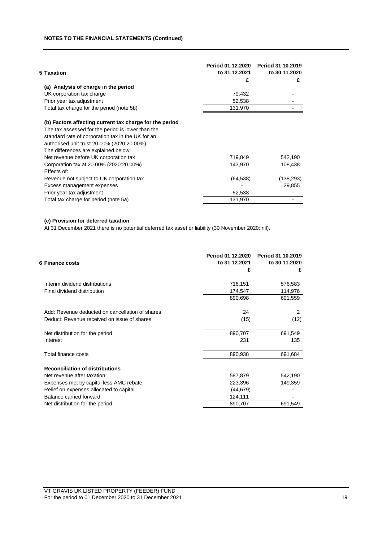| 5 Taxation                                              | Period 01.12.2020<br>to 31.12.2021<br>£ | Period 31.10.2019<br>to 30.11.2020<br>£ |
|---------------------------------------------------------|-----------------------------------------|-----------------------------------------|
| (a) Analysis of charge in the period                    |                                         |                                         |
| UK corporation tax charge                               | 79,432                                  |                                         |
| Prior year tax adjustment                               | 52,538                                  |                                         |
| Total tax charge for the period (note 5b)               | 131,970                                 |                                         |
| (b) Factors affecting current tax charge for the period |                                         |                                         |
| The tax assessed for the period is lower than the       |                                         |                                         |
| standard rate of corporation tax in the UK for an       |                                         |                                         |
| authorised unit trust 20.00% (2020:20.00%)              |                                         |                                         |
| The differences are explained below:                    |                                         |                                         |
| Net revenue before UK corporation tax                   | 719,849                                 | 542,190                                 |
| Corporation tax at 20.00% (2020:20.00%)                 | 143,970                                 | 108,438                                 |
| Effects of:                                             |                                         |                                         |
| Revenue not subject to UK corporation tax               | (64, 538)                               | (138, 293)                              |
| Excess management expenses                              |                                         | 29,855                                  |
| Prior year tax adjustment                               | 52,538                                  |                                         |
| Total tax charge for period (note 5a)                   | 131,970                                 |                                         |
|                                                         |                                         |                                         |

## **(c) Provision for deferred taxation**

At 31 December 2021 there is no potential deferred tax asset or liability (30 November 2020: nil).

| 6 Finance costs                                 | Period 01.12.2020<br>to 31.12.2021 | Period 31.10.2019<br>to 30.11.2020 |  |
|-------------------------------------------------|------------------------------------|------------------------------------|--|
|                                                 | £                                  | £                                  |  |
| Interim dividend distributions                  | 716,151                            | 576,583                            |  |
| Final dividend distribution                     | 174,547                            | 114,976                            |  |
|                                                 | 890,698                            | 691,559                            |  |
| Add: Revenue deducted on cancellation of shares | 24                                 | 2                                  |  |
| Deduct: Revenue received on issue of shares     | (15)                               | (12)                               |  |
| Net distribution for the period                 | 890,707                            | 691,549                            |  |
| Interest                                        | 231                                | 135                                |  |
| Total finance costs                             | 890,938                            | 691,684                            |  |
| <b>Reconciliation of distributions</b>          |                                    |                                    |  |
| Net revenue after taxation                      | 587,879                            | 542,190                            |  |
| Expenses met by capital less AMC rebate         | 223,396                            | 149,359                            |  |
| Relief on expenses allocated to capital         | (44, 679)                          |                                    |  |
| Balance carried forward                         | 124,111                            |                                    |  |
| Net distribution for the period                 | 890,707                            | 691,549                            |  |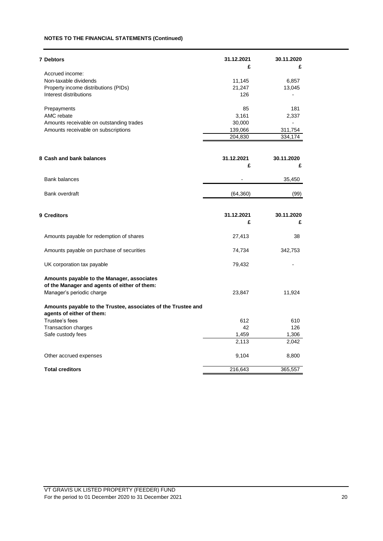## **NOTES TO THE FINANCIAL STATEMENTS (Continued)**

| <b>7 Debtors</b>                                              | 31.12.2021 | 30.11.2020 |
|---------------------------------------------------------------|------------|------------|
| Accrued income:                                               | £          | £          |
| Non-taxable dividends                                         | 11,145     | 6,857      |
| Property income distributions (PIDs)                          | 21,247     | 13,045     |
| Interest distributions                                        | 126        |            |
|                                                               |            |            |
| Prepayments                                                   | 85         | 181        |
| AMC rebate                                                    | 3,161      | 2,337      |
| Amounts receivable on outstanding trades                      | 30,000     |            |
| Amounts receivable on subscriptions                           | 139,066    | 311,754    |
|                                                               | 204,830    | 334,174    |
|                                                               |            |            |
| 8 Cash and bank balances                                      | 31.12.2021 | 30.11.2020 |
|                                                               | £          | £          |
| <b>Bank balances</b>                                          |            | 35,450     |
|                                                               |            |            |
| <b>Bank overdraft</b>                                         | (64, 360)  | (99)       |
|                                                               |            |            |
| 9 Creditors                                                   | 31.12.2021 | 30.11.2020 |
|                                                               | £          | £          |
| Amounts payable for redemption of shares                      | 27,413     | 38         |
| Amounts payable on purchase of securities                     | 74,734     | 342,753    |
| UK corporation tax payable                                    | 79,432     |            |
| Amounts payable to the Manager, associates                    |            |            |
| of the Manager and agents of either of them:                  |            |            |
| Manager's periodic charge                                     | 23,847     | 11,924     |
| Amounts payable to the Trustee, associates of the Trustee and |            |            |
| agents of either of them:                                     |            |            |
| Trustee's fees                                                | 612        | 610        |
| Transaction charges                                           | 42         | 126        |
| Safe custody fees                                             | 1,459      | 1,306      |
|                                                               | 2,113      | 2,042      |
|                                                               |            |            |
| Other accrued expenses                                        | 9,104      | 8,800      |
| <b>Total creditors</b>                                        | 216,643    | 365,557    |
|                                                               |            |            |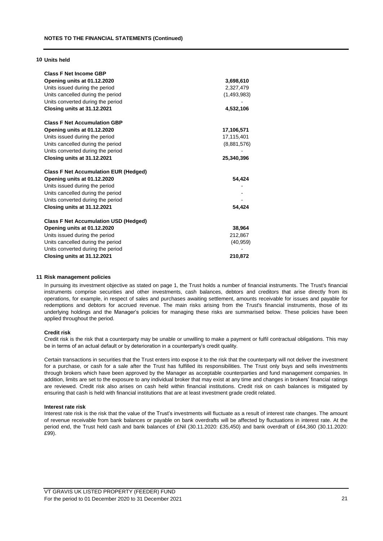### **10 Units held**

| <b>Class F Net Income GBP</b>                |             |
|----------------------------------------------|-------------|
| Opening units at 01.12.2020                  | 3,698,610   |
| Units issued during the period               | 2,327,479   |
| Units cancelled during the period            | (1,493,983) |
| Units converted during the period            |             |
| Closing units at 31.12.2021                  | 4,532,106   |
| <b>Class F Net Accumulation GBP</b>          |             |
| Opening units at 01.12.2020                  | 17,106,571  |
| Units issued during the period               | 17,115,401  |
| Units cancelled during the period            | (8,881,576) |
| Units converted during the period            |             |
| Closing units at 31.12.2021                  | 25,340,396  |
| <b>Class F Net Accumulation EUR (Hedged)</b> |             |
| Opening units at 01.12.2020                  | 54,424      |
| Units issued during the period               |             |
| Units cancelled during the period            |             |
| Units converted during the period            |             |
| Closing units at 31.12.2021                  | 54,424      |
| <b>Class F Net Accumulation USD (Hedged)</b> |             |
| Opening units at 01.12.2020                  | 38,964      |
| Units issued during the period               | 212,867     |
| Units cancelled during the period            | (40, 959)   |
| Units converted during the period            |             |
| Closing units at 31.12.2021                  | 210,872     |

#### **11 Risk management policies**

In pursuing its investment objective as stated on page 1, the Trust holds a number of financial instruments. The Trust's financial instruments comprise securities and other investments, cash balances, debtors and creditors that arise directly from its operations, for example, in respect of sales and purchases awaiting settlement, amounts receivable for issues and payable for redemptions and debtors for accrued revenue. The main risks arising from the Trust's financial instruments, those of its underlying holdings and the Manager's policies for managing these risks are summarised below. These policies have been applied throughout the period.

#### **Credit risk**

Credit risk is the risk that a counterparty may be unable or unwilling to make a payment or fulfil contractual obligations. This may be in terms of an actual default or by deterioration in a counterparty's credit quality.

Certain transactions in securities that the Trust enters into expose it to the risk that the counterparty will not deliver the investment for a purchase, or cash for a sale after the Trust has fulfilled its responsibilities. The Trust only buys and sells investments through brokers which have been approved by the Manager as acceptable counterparties and fund management companies. In addition, limits are set to the exposure to any individual broker that may exist at any time and changes in brokers' financial ratings are reviewed. Credit risk also arises on cash held within financial institutions. Credit risk on cash balances is mitigated by ensuring that cash is held with financial institutions that are at least investment grade credit related.

#### **Interest rate risk**

Interest rate risk is the risk that the value of the Trust's investments will fluctuate as a result of interest rate changes. The amount of revenue receivable from bank balances or payable on bank overdrafts will be affected by fluctuations in interest rate. At the period end, the Trust held cash and bank balances of £Nil (30.11.2020: £35,450) and bank overdraft of £64,360 (30.11.2020: £99).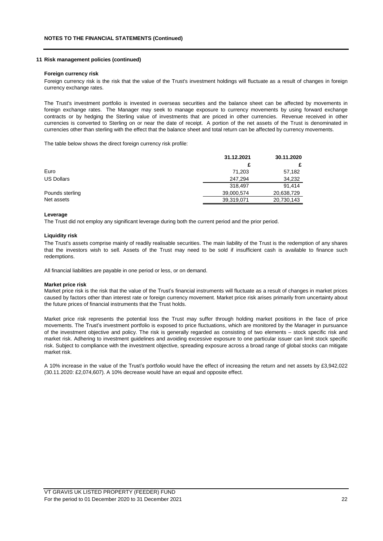### **11 Risk management policies (continued)**

#### **Foreign currency risk**

Foreign currency risk is the risk that the value of the Trust's investment holdings will fluctuate as a result of changes in foreign currency exchange rates.

The Trust's investment portfolio is invested in overseas securities and the balance sheet can be affected by movements in foreign exchange rates. The Manager may seek to manage exposure to currency movements by using forward exchange contracts or by hedging the Sterling value of investments that are priced in other currencies. Revenue received in other currencies is converted to Sterling on or near the date of receipt. A portion of the net assets of the Trust is denominated in currencies other than sterling with the effect that the balance sheet and total return can be affected by currency movements.

The table below shows the direct foreign currency risk profile:

|                 | 31.12.2021 | 30.11.2020 |
|-----------------|------------|------------|
|                 |            |            |
| Euro            | 71,203     | 57,182     |
| US Dollars      | 247.294    | 34,232     |
|                 | 318.497    | 91.414     |
| Pounds sterling | 39,000,574 | 20,638,729 |
| Net assets      | 39,319,071 | 20,730,143 |

#### **Leverage**

The Trust did not employ any significant leverage during both the current period and the prior period.

#### **Liquidity risk**

The Trust's assets comprise mainly of readily realisable securities. The main liability of the Trust is the redemption of any shares that the investors wish to sell. Assets of the Trust may need to be sold if insufficient cash is available to finance such redemptions.

All financial liabilities are payable in one period or less, or on demand.

#### **Market price risk**

Market price risk is the risk that the value of the Trust's financial instruments will fluctuate as a result of changes in market prices caused by factors other than interest rate or foreign currency movement. Market price risk arises primarily from uncertainty about the future prices of financial instruments that the Trust holds.

Market price risk represents the potential loss the Trust may suffer through holding market positions in the face of price movements. The Trust's investment portfolio is exposed to price fluctuations, which are monitored by the Manager in pursuance of the investment objective and policy. The risk is generally regarded as consisting of two elements – stock specific risk and market risk. Adhering to investment guidelines and avoiding excessive exposure to one particular issuer can limit stock specific risk. Subject to compliance with the investment objective, spreading exposure across a broad range of global stocks can mitigate market risk.

A 10% increase in the value of the Trust's portfolio would have the effect of increasing the return and net assets by £3,942,022 (30.11.2020: £2,074,607). A 10% decrease would have an equal and opposite effect.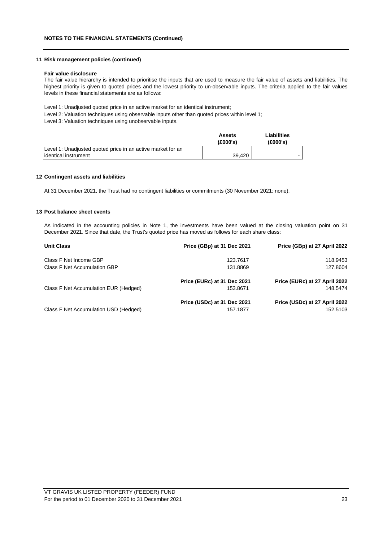## **11 Risk management policies (continued)**

#### **Fair value disclosure**

The fair value hierarchy is intended to prioritise the inputs that are used to measure the fair value of assets and liabilities. The highest priority is given to quoted prices and the lowest priority to un-observable inputs. The criteria applied to the fair values levels in these financial statements are as follows:

Level 1: Unadjusted quoted price in an active market for an identical instrument;

Level 2: Valuation techniques using observable inputs other than quoted prices within level 1;

Level 3: Valuation techniques using unobservable inputs.

|                                                             | Assets<br>(E000's) | Liabilities<br>(£000's) |
|-------------------------------------------------------------|--------------------|-------------------------|
| Level 1: Unadjusted quoted price in an active market for an |                    |                         |
| lidentical instrument                                       | 39.420             |                         |

#### **12 Contingent assets and liabilities**

At 31 December 2021, the Trust had no contingent liabilities or commitments (30 November 2021: none).

#### **13 Post balance sheet events**

As indicated in the accounting policies in Note 1, the investments have been valued at the closing valuation point on 31 December 2021. Since that date, the Trust's quoted price has moved as follows for each share class:

| <b>Unit Class</b>                     | Price (GBp) at 31 Dec 2021  | Price (GBp) at 27 April 2022  |
|---------------------------------------|-----------------------------|-------------------------------|
| Class F Net Income GBP                | 123.7617                    | 118.9453                      |
| Class F Net Accumulation GBP          | 131.8869                    | 127.8604                      |
|                                       | Price (EURc) at 31 Dec 2021 | Price (EURc) at 27 April 2022 |
| Class F Net Accumulation EUR (Hedged) | 153.8671                    | 148.5474                      |
|                                       | Price (USDc) at 31 Dec 2021 | Price (USDc) at 27 April 2022 |
| Class F Net Accumulation USD (Hedged) | 157.1877                    | 152.5103                      |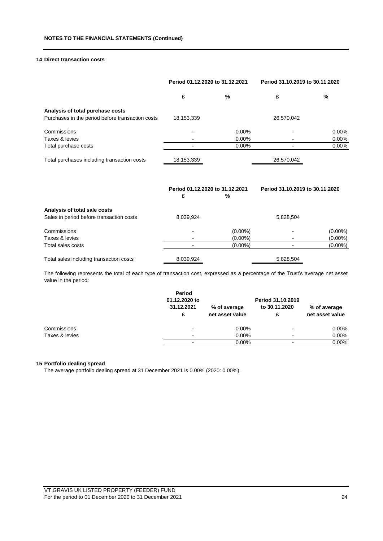## **14 Direct transaction costs**

|                                                  | Period 01.12.2020 to 31.12.2021 |            | Period 31.10.2019 to 30.11.2020 |            |
|--------------------------------------------------|---------------------------------|------------|---------------------------------|------------|
|                                                  | £                               | ℅          | £                               | %          |
| Analysis of total purchase costs                 |                                 |            |                                 |            |
| Purchases in the period before transaction costs | 18,153,339                      |            | 26,570,042                      |            |
| Commissions                                      |                                 | 0.00%      |                                 | $0.00\%$   |
| Taxes & levies                                   |                                 | 0.00%      |                                 | 0.00%      |
| Total purchase costs                             |                                 | 0.00%      |                                 | 0.00%      |
| Total purchases including transaction costs      | 18,153,339                      |            | 26,570,042                      |            |
|                                                  | Period 01.12.2020 to 31.12.2021 |            | Period 31.10.2019 to 30.11.2020 |            |
|                                                  | £                               | %          |                                 |            |
| Analysis of total sale costs                     |                                 |            |                                 |            |
| Sales in period before transaction costs         | 8,039,924                       |            | 5,828,504                       |            |
| Commissions                                      |                                 | $(0.00\%)$ |                                 | $(0.00\%)$ |
| Taxes & levies                                   |                                 | $(0.00\%)$ |                                 | $(0.00\%)$ |
| Total sales costs                                |                                 | $(0.00\%)$ |                                 | $(0.00\%)$ |
| Total sales including transaction costs          | 8,039,924                       |            | 5,828,504                       |            |

The following represents the total of each type of transaction cost, expressed as a percentage of the Trust's average net asset value in the period:

|                | Period<br>01.12.2020 to  |                                 | Period 31.10.2019 |                                 |
|----------------|--------------------------|---------------------------------|-------------------|---------------------------------|
|                | 31.12.2021<br>£          | % of average<br>net asset value | to 30.11.2020     | % of average<br>net asset value |
| Commissions    | $\overline{ }$           | $0.00\%$                        |                   | 0.00%                           |
| Taxes & levies | $\blacksquare$           | $0.00\%$                        | -                 | 0.00%                           |
|                | $\overline{\phantom{0}}$ | $0.00\%$                        |                   | $0.00\%$                        |

### **15 Portfolio dealing spread**

The average portfolio dealing spread at 31 December 2021 is 0.00% (2020: 0.00%).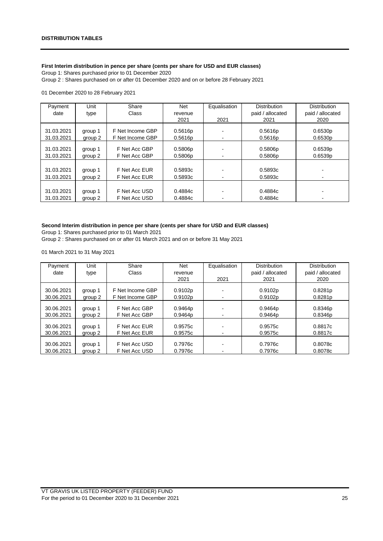## **First Interim distribution in pence per share (cents per share for USD and EUR classes)**

Group 1: Shares purchased prior to 01 December 2020

Group 2 : Shares purchased on or after 01 December 2020 and on or before 28 February 2021

## 01 December 2020 to 28 February 2021

| Payment    | Unit    | Share            | <b>Net</b> | Equalisation             | <b>Distribution</b> | <b>Distribution</b> |
|------------|---------|------------------|------------|--------------------------|---------------------|---------------------|
| date       | type    | Class            | revenue    |                          | paid / allocated    | paid / allocated    |
|            |         |                  | 2021       | 2021                     | 2021                | 2020                |
|            |         |                  |            |                          |                     |                     |
| 31.03.2021 | group 1 | F Net Income GBP | 0.5616p    |                          | 0.5616p             | 0.6530p             |
| 31.03.2021 | group 2 | F Net Income GBP | 0.5616p    |                          | 0.5616p             | 0.6530p             |
|            |         |                  |            |                          |                     |                     |
| 31.03.2021 | group 1 | F Net Acc GBP    | 0.5806p    |                          | 0.5806p             | 0.6539p             |
| 31.03.2021 | group 2 | F Net Acc GBP    | 0.5806p    | $\overline{\phantom{0}}$ | 0.5806p             | 0.6539p             |
|            |         |                  |            |                          |                     |                     |
| 31.03.2021 | group 1 | F Net Acc EUR    | 0.5893c    |                          | 0.5893c             |                     |
| 31.03.2021 | group 2 | F Net Acc EUR    | 0.5893c    |                          | 0.5893c             |                     |
|            |         |                  |            |                          |                     |                     |
| 31.03.2021 | group 1 | F Net Acc USD    | 0.4884c    |                          | 0.4884c             |                     |
| 31.03.2021 | group 2 | F Net Acc USD    | 0.4884c    |                          | 0.4884c             |                     |

## **Second Interim distribution in pence per share (cents per share for USD and EUR classes)**

Group 1: Shares purchased prior to 01 March 2021

Group 2 : Shares purchased on or after 01 March 2021 and on or before 31 May 2021

01 March 2021 to 31 May 2021

| Payment    | Unit    | Share            | Net     | Equalisation | <b>Distribution</b> | <b>Distribution</b> |
|------------|---------|------------------|---------|--------------|---------------------|---------------------|
| date       | type    | Class            | revenue |              | paid / allocated    | paid / allocated    |
|            |         |                  | 2021    | 2021         | 2021                | 2020                |
|            |         |                  |         |              |                     |                     |
| 30.06.2021 | group 1 | F Net Income GBP | 0.9102p |              | 0.9102p             | 0.8281p             |
| 30.06.2021 | group 2 | F Net Income GBP | 0.9102p | -            | 0.9102p             | 0.8281p             |
|            |         |                  |         |              |                     |                     |
| 30.06.2021 | group 1 | F Net Acc GBP    | 0.9464p |              | 0.9464p             | 0.8346p             |
| 30.06.2021 | group 2 | F Net Acc GBP    | 0.9464p | -            | 0.9464p             | 0.8346 <sub>p</sub> |
|            |         |                  |         |              |                     |                     |
| 30.06.2021 | group 1 | F Net Acc EUR    | 0.9575c | -            | 0.9575c             | 0.8817c             |
| 30.06.2021 | group 2 | F Net Acc EUR    | 0.9575c | -            | 0.9575c             | 0.8817c             |
|            |         |                  |         |              |                     |                     |
| 30.06.2021 | group 1 | F Net Acc USD    | 0.7976c |              | 0.7976c             | 0.8078c             |
| 30.06.2021 | group 2 | F Net Acc USD    | 0.7976c | -            | 0.7976c             | 0.8078c             |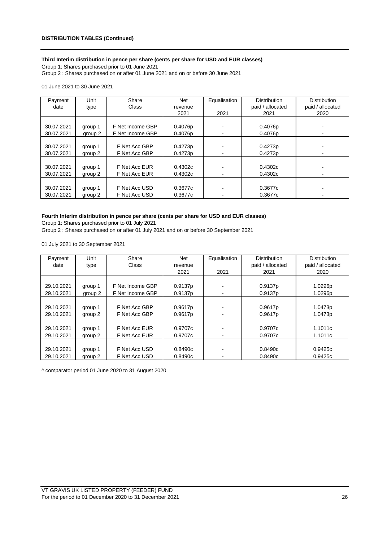## **Third Interim distribution in pence per share (cents per share for USD and EUR classes)**

Group 1: Shares purchased prior to 01 June 2021 Group 2 : Shares purchased on or after 01 June 2021 and on or before 30 June 2021

01 June 2021 to 30 June 2021

| Payment    | Unit    | Share            | <b>Net</b> | Equalisation | <b>Distribution</b> | <b>Distribution</b> |
|------------|---------|------------------|------------|--------------|---------------------|---------------------|
| date       | type    | Class            | revenue    |              | paid / allocated    | paid / allocated    |
|            |         |                  | 2021       | 2021         | 2021                | 2020                |
|            |         |                  |            |              |                     |                     |
| 30.07.2021 | group 1 | F Net Income GBP | 0.4076p    |              | 0.4076p             |                     |
| 30.07.2021 | group 2 | F Net Income GBP | 0.4076p    |              | 0.4076p             |                     |
|            |         |                  |            |              |                     |                     |
| 30.07.2021 | group 1 | F Net Acc GBP    | 0.4273p    |              | 0.4273p             |                     |
| 30.07.2021 | group 2 | F Net Acc GBP    | 0.4273p    |              | 0.4273p             |                     |
|            |         |                  |            |              |                     |                     |
| 30.07.2021 | group 1 | F Net Acc EUR    | 0.4302c    |              | 0.4302c             |                     |
| 30.07.2021 | group 2 | F Net Acc EUR    | 0.4302c    |              | 0.4302c             | $\blacksquare$      |
|            |         |                  |            |              |                     |                     |
| 30.07.2021 | group 1 | F Net Acc USD    | 0.3677c    |              | 0.3677c             |                     |
| 30.07.2021 | group 2 | F Net Acc USD    | 0.3677c    |              | 0.3677c             |                     |

## **Fourth Interim distribution in pence per share (cents per share for USD and EUR classes)**

Group 1: Shares purchased prior to 01 July 2021

Group 2 : Shares purchased on or after 01 July 2021 and on or before 30 September 2021

01 July 2021 to 30 September 2021

| Payment    | Unit    | Share            | <b>Net</b> | Equalisation | <b>Distribution</b> | <b>Distribution</b> |
|------------|---------|------------------|------------|--------------|---------------------|---------------------|
| date       | type    | Class            | revenue    |              | paid / allocated    | paid / allocated    |
|            |         |                  | 2021       | 2021         | 2021                | 2020                |
|            |         |                  |            |              |                     |                     |
| 29.10.2021 | group 1 | F Net Income GBP | 0.9137p    |              | 0.9137p             | 1.0296p             |
| 29.10.2021 | group 2 | F Net Income GBP | 0.9137p    |              | 0.9137p             | 1.0296p             |
|            |         |                  |            |              |                     |                     |
| 29.10.2021 | group 1 | F Net Acc GBP    | 0.9617p    |              | 0.9617p             | 1.0473p             |
| 29.10.2021 | group 2 | F Net Acc GBP    | 0.9617p    |              | 0.9617p             | 1.0473p             |
|            |         |                  |            |              |                     |                     |
| 29.10.2021 | group 1 | F Net Acc EUR    | 0.9707c    |              | 0.9707c             | 1.1011c             |
| 29.10.2021 | group 2 | F Net Acc EUR    | 0.9707c    |              | 0.9707c             | 1.1011c             |
|            |         |                  |            |              |                     |                     |
| 29.10.2021 | group 1 | F Net Acc USD    | 0.8490c    |              | 0.8490c             | 0.9425c             |
| 29.10.2021 | group 2 | F Net Acc USD    | 0.8490c    |              | 0.8490c             | 0.9425c             |

^ comparator period 01 June 2020 to 31 August 2020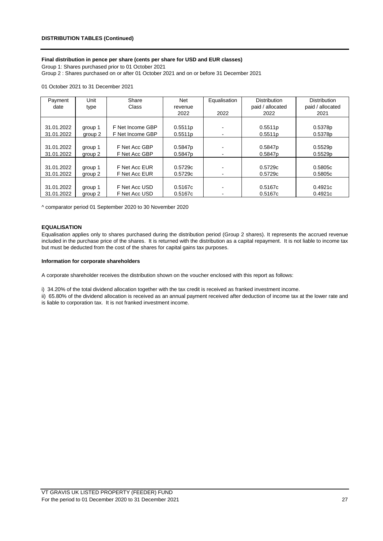## **Final distribution in pence per share (cents per share for USD and EUR classes)**

Group 1: Shares purchased prior to 01 October 2021 Group 2 : Shares purchased on or after 01 October 2021 and on or before 31 December 2021

#### 01 October 2021 to 31 December 2021

| Payment    | Unit    | Share            | Net     | Equalisation | <b>Distribution</b> | <b>Distribution</b> |
|------------|---------|------------------|---------|--------------|---------------------|---------------------|
| date       | type    | Class            | revenue |              | paid / allocated    | paid / allocated    |
|            |         |                  | 2022    | 2022         | 2022                | 2021                |
|            |         |                  |         |              |                     |                     |
| 31.01.2022 | group 1 | F Net Income GBP | 0.5511p |              | 0.5511p             | 0.5378p             |
| 31.01.2022 | group 2 | F Net Income GBP | 0.5511p |              | 0.5511p             | 0.5378p             |
|            |         |                  |         |              |                     |                     |
| 31.01.2022 | group 1 | F Net Acc GBP    | 0.5847p |              | 0.5847p             | 0.5529p             |
| 31.01.2022 | group 2 | F Net Acc GBP    | 0.5847p | -            | 0.5847 <sub>p</sub> | 0.5529p             |
|            |         |                  |         |              |                     |                     |
| 31.01.2022 | group 1 | F Net Acc EUR    | 0.5729c |              | 0.5729c             | 0.5805c             |
| 31.01.2022 | group 2 | F Net Acc EUR    | 0.5729c |              | 0.5729c             | 0.5805c             |
|            |         |                  |         |              |                     |                     |
| 31.01.2022 | group 1 | F Net Acc USD    | 0.5167c |              | 0.5167c             | 0.4921c             |
| 31.01.2022 | group 2 | F Net Acc USD    | 0.5167c | -            | 0.5167c             | 0.4921c             |

^ comparator period 01 September 2020 to 30 November 2020

#### **EQUALISATION**

Equalisation applies only to shares purchased during the distribution period (Group 2 shares). It represents the accrued revenue included in the purchase price of the shares. It is returned with the distribution as a capital repayment. It is not liable to income tax but must be deducted from the cost of the shares for capital gains tax purposes.

#### **Information for corporate shareholders**

A corporate shareholder receives the distribution shown on the voucher enclosed with this report as follows:

i) 34.20% of the total dividend allocation together with the tax credit is received as franked investment income.

ii) 65.80% of the dividend allocation is received as an annual payment received after deduction of income tax at the lower rate and

is liable to corporation tax. It is not franked investment income.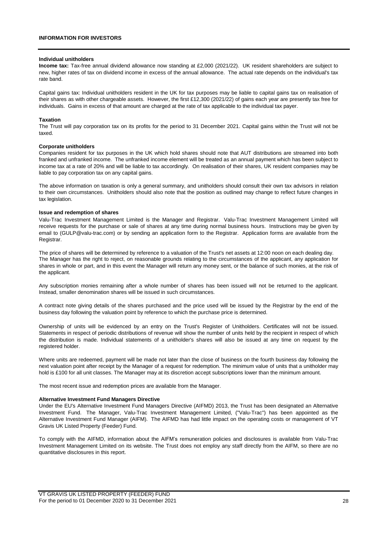#### **Individual unitholders**

**Income tax:** Tax-free annual dividend allowance now standing at £2,000 (2021/22). UK resident shareholders are subject to new, higher rates of tax on dividend income in excess of the annual allowance. The actual rate depends on the individual's tax rate band.

Capital gains tax: Individual unitholders resident in the UK for tax purposes may be liable to capital gains tax on realisation of their shares as with other chargeable assets. However, the first £12,300 (2021/22) of gains each year are presently tax free for individuals. Gains in excess of that amount are charged at the rate of tax applicable to the individual tax payer.

#### **Taxation**

The Trust will pay corporation tax on its profits for the period to 31 December 2021. Capital gains within the Trust will not be taxed.

#### **Corporate unitholders**

Companies resident for tax purposes in the UK which hold shares should note that AUT distributions are streamed into both franked and unfranked income. The unfranked income element will be treated as an annual payment which has been subject to income tax at a rate of 20% and will be liable to tax accordingly. On realisation of their shares, UK resident companies may be liable to pay corporation tax on any capital gains.

The above information on taxation is only a general summary, and unitholders should consult their own tax advisors in relation to their own circumstances. Unitholders should also note that the position as outlined may change to reflect future changes in tax legislation.

#### **Issue and redemption of shares**

Valu-Trac Investment Management Limited is the Manager and Registrar. Valu-Trac Investment Management Limited will receive requests for the purchase or sale of shares at any time during normal business hours. Instructions may be given by email to (GULP@valu-trac.com) or by sending an application form to the Registrar. Application forms are available from the Registrar.

The price of shares will be determined by reference to a valuation of the Trust's net assets at 12:00 noon on each dealing day. The Manager has the right to reject, on reasonable grounds relating to the circumstances of the applicant, any application for shares in whole or part, and in this event the Manager will return any money sent, or the balance of such monies, at the risk of the applicant.

Any subscription monies remaining after a whole number of shares has been issued will not be returned to the applicant. Instead, smaller denomination shares will be issued in such circumstances.

A contract note giving details of the shares purchased and the price used will be issued by the Registrar by the end of the business day following the valuation point by reference to which the purchase price is determined.

Ownership of units will be evidenced by an entry on the Trust's Register of Unitholders. Certificates will not be issued. Statements in respect of periodic distributions of revenue will show the number of units held by the recipient in respect of which the distribution is made. Individual statements of a unitholder's shares will also be issued at any time on request by the registered holder.

Where units are redeemed, payment will be made not later than the close of business on the fourth business day following the next valuation point after receipt by the Manager of a request for redemption. The minimum value of units that a unitholder may hold is £100 for all unit classes. The Manager may at its discretion accept subscriptions lower than the minimum amount.

The most recent issue and redemption prices are available from the Manager.

#### **Alternative Investment Fund Managers Directive**

Under the EU's Alternative Investment Fund Managers Directive (AIFMD) 2013, the Trust has been designated an Alternative Investment Fund. The Manager, Valu-Trac Investment Management Limited, ("Valu-Trac") has been appointed as the Alternative Investment Fund Manager (AIFM). The AIFMD has had little impact on the operating costs or management of VT Gravis UK Listed Property (Feeder) Fund.

To comply with the AIFMD, information about the AIFM's remuneration policies and disclosures is available from Valu-Trac Investment Management Limited on its website. The Trust does not employ any staff directly from the AIFM, so there are no quantitative disclosures in this report.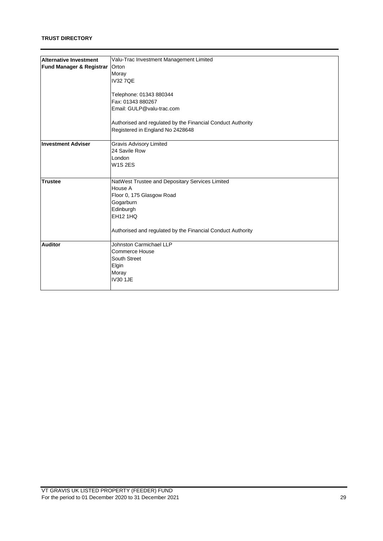| <b>Alternative Investment</b> | Valu-Trac Investment Management Limited                     |  |  |  |  |  |
|-------------------------------|-------------------------------------------------------------|--|--|--|--|--|
|                               | Orton                                                       |  |  |  |  |  |
| Fund Manager & Registrar      |                                                             |  |  |  |  |  |
|                               | Moray                                                       |  |  |  |  |  |
|                               | <b>IV327OE</b>                                              |  |  |  |  |  |
|                               |                                                             |  |  |  |  |  |
|                               | Telephone: 01343 880344                                     |  |  |  |  |  |
|                               | Fax: 01343 880267                                           |  |  |  |  |  |
|                               | Email: GULP@valu-trac.com                                   |  |  |  |  |  |
|                               | Authorised and regulated by the Financial Conduct Authority |  |  |  |  |  |
|                               | Registered in England No 2428648                            |  |  |  |  |  |
|                               |                                                             |  |  |  |  |  |
| <b>Investment Adviser</b>     | <b>Gravis Advisory Limited</b>                              |  |  |  |  |  |
|                               | 24 Savile Row                                               |  |  |  |  |  |
|                               | London                                                      |  |  |  |  |  |
|                               | <b>W1S2ES</b>                                               |  |  |  |  |  |
|                               |                                                             |  |  |  |  |  |
| <b>Trustee</b>                | NatWest Trustee and Depositary Services Limited             |  |  |  |  |  |
|                               | House A                                                     |  |  |  |  |  |
|                               | Floor 0, 175 Glasgow Road                                   |  |  |  |  |  |
|                               | Gogarburn                                                   |  |  |  |  |  |
|                               | Edinburgh                                                   |  |  |  |  |  |
|                               | <b>EH12 1HQ</b>                                             |  |  |  |  |  |
|                               |                                                             |  |  |  |  |  |
|                               | Authorised and regulated by the Financial Conduct Authority |  |  |  |  |  |
| <b>Auditor</b>                | Johnston Carmichael LLP                                     |  |  |  |  |  |
|                               | <b>Commerce House</b>                                       |  |  |  |  |  |
|                               | South Street                                                |  |  |  |  |  |
|                               | Elgin                                                       |  |  |  |  |  |
|                               | Moray                                                       |  |  |  |  |  |
|                               | <b>IV30 1JE</b>                                             |  |  |  |  |  |
|                               |                                                             |  |  |  |  |  |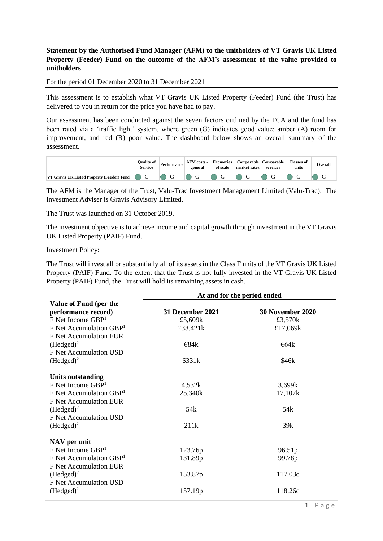## **Statement by the Authorised Fund Manager (AFM) to the unitholders of VT Gravis UK Listed Property (Feeder) Fund on the outcome of the AFM's assessment of the value provided to unitholders**

For the period 01 December 2020 to 31 December 2021

This assessment is to establish what VT Gravis UK Listed Property (Feeder) Fund (the Trust) has delivered to you in return for the price you have had to pay.

Our assessment has been conducted against the seven factors outlined by the FCA and the fund has been rated via a 'traffic light' system, where green (G) indicates good value: amber (A) room for improvement, and red (R) poor value. The dashboard below shows an overall summary of the assessment.

|                                              | Ouality of<br>Service | Performance | <b>AFM</b> costs -<br>general | Economies<br>of scale           | <b>Comparable</b><br>market rates | Comparable<br>services | <b>Classes of</b><br>units | Overall |
|----------------------------------------------|-----------------------|-------------|-------------------------------|---------------------------------|-----------------------------------|------------------------|----------------------------|---------|
| VT Gravis UK Listed Property (Feeder) Fund G |                       |             | $\Box$ G                      | $\blacksquare$ G $\blacksquare$ |                                   |                        |                            |         |

The AFM is the Manager of the Trust, Valu-Trac Investment Management Limited (Valu-Trac). The Investment Adviser is Gravis Advisory Limited.

The Trust was launched on 31 October 2019.

The investment objective is to achieve income and capital growth through investment in the VT Gravis UK Listed Property (PAIF) Fund.

Investment Policy:

The Trust will invest all or substantially all of its assets in the Class F units of the VT Gravis UK Listed Property (PAIF) Fund. To the extent that the Trust is not fully invested in the VT Gravis UK Listed Property (PAIF) Fund, the Trust will hold its remaining assets in cash.

|                                       | At and for the period ended |                  |  |  |  |  |
|---------------------------------------|-----------------------------|------------------|--|--|--|--|
| Value of Fund (per the                |                             |                  |  |  |  |  |
| performance record)                   | 31 December 2021            | 30 November 2020 |  |  |  |  |
| $F$ Net Income $GBP1$                 | £5,609k                     | £3,570k          |  |  |  |  |
| $F$ Net Accumulation GBP <sup>1</sup> | £33,421k                    | £17,069k         |  |  |  |  |
| F Net Accumulation EUR                |                             |                  |  |  |  |  |
| $(Hedged)^2$                          | E84k                        | $\epsilon$ 64k   |  |  |  |  |
| F Net Accumulation USD                |                             |                  |  |  |  |  |
| $(Hedged)^2$                          | \$331k                      | \$46k            |  |  |  |  |
| <b>Units outstanding</b>              |                             |                  |  |  |  |  |
| $F$ Net Income $GBP1$                 | 4,532k                      | 3,699k           |  |  |  |  |
| $F$ Net Accumulation GBP <sup>1</sup> | 25,340k                     | 17,107k          |  |  |  |  |
| F Net Accumulation EUR                |                             |                  |  |  |  |  |
| $(Hedged)^2$                          | 54k                         | 54 <sub>k</sub>  |  |  |  |  |
| F Net Accumulation USD                |                             |                  |  |  |  |  |
| $(Hedged)^2$                          | 211k                        | 39k              |  |  |  |  |
| NAV per unit                          |                             |                  |  |  |  |  |
| $F$ Net Income $GBP1$                 | 123.76p                     | 96.51p           |  |  |  |  |
| $F$ Net Accumulation GBP <sup>1</sup> | 131.89p                     | 99.78p           |  |  |  |  |
| F Net Accumulation EUR                |                             |                  |  |  |  |  |
| $(Hedged)^2$                          | 153.87 <sub>p</sub>         | 117.03c          |  |  |  |  |
| F Net Accumulation USD                |                             |                  |  |  |  |  |
| $(Hedged)^2$                          | 157.19p                     | 118.26c          |  |  |  |  |
|                                       |                             |                  |  |  |  |  |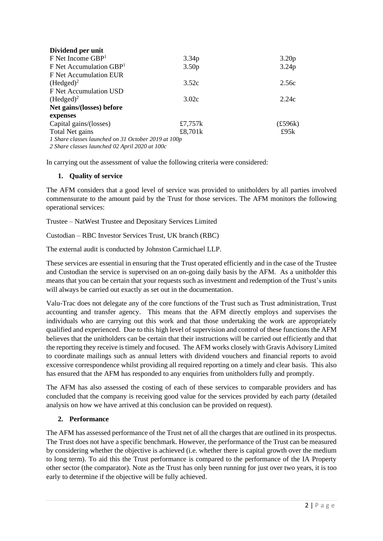| Dividend per unit                                   |                   |                   |
|-----------------------------------------------------|-------------------|-------------------|
| $F$ Net Income $GBP1$                               | 3.34p             | 3.20 <sub>p</sub> |
| $F$ Net Accumulation GBP <sup>1</sup>               | 3.50 <sub>p</sub> | 3.24p             |
| F Net Accumulation EUR                              |                   |                   |
| (Hedged) <sup>2</sup>                               | 3.52c             | 2.56c             |
| F Net Accumulation USD                              |                   |                   |
| $(Hedged)^2$                                        | 3.02c             | 2.24c             |
| Net gains/(losses) before                           |                   |                   |
| expenses                                            |                   |                   |
| Capital gains/(losses)                              | £7,757 $k$        | $(\pounds 596k)$  |
| Total Net gains                                     | £8,701k           | £95k              |
| 1 Share classes launched on 31 October 2019 at 100p |                   |                   |
| 2 Share classes launched 02 April 2020 at 100c      |                   |                   |

In carrying out the assessment of value the following criteria were considered:

## **1. Quality of service**

The AFM considers that a good level of service was provided to unitholders by all parties involved commensurate to the amount paid by the Trust for those services. The AFM monitors the following operational services:

Trustee – NatWest Trustee and Depositary Services Limited

Custodian – RBC Investor Services Trust, UK branch (RBC)

The external audit is conducted by Johnston Carmichael LLP.

These services are essential in ensuring that the Trust operated efficiently and in the case of the Trustee and Custodian the service is supervised on an on-going daily basis by the AFM. As a unitholder this means that you can be certain that your requests such as investment and redemption of the Trust's units will always be carried out exactly as set out in the documentation.

Valu-Trac does not delegate any of the core functions of the Trust such as Trust administration, Trust accounting and transfer agency. This means that the AFM directly employs and supervises the individuals who are carrying out this work and that those undertaking the work are appropriately qualified and experienced. Due to this high level of supervision and control of these functions the AFM believes that the unitholders can be certain that their instructions will be carried out efficiently and that the reporting they receive is timely and focused. The AFM works closely with Gravis Advisory Limited to coordinate mailings such as annual letters with dividend vouchers and financial reports to avoid excessive correspondence whilst providing all required reporting on a timely and clear basis. This also has ensured that the AFM has responded to any enquiries from unitholders fully and promptly.

The AFM has also assessed the costing of each of these services to comparable providers and has concluded that the company is receiving good value for the services provided by each party (detailed analysis on how we have arrived at this conclusion can be provided on request).

## **2. Performance**

The AFM has assessed performance of the Trust net of all the charges that are outlined in its prospectus. The Trust does not have a specific benchmark. However, the performance of the Trust can be measured by considering whether the objective is achieved (i.e. whether there is capital growth over the medium to long term). To aid this the Trust performance is compared to the performance of the IA Property other sector (the comparator). Note as the Trust has only been running for just over two years, it is too early to determine if the objective will be fully achieved.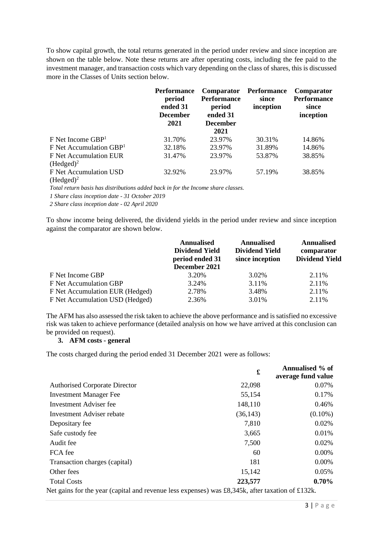To show capital growth, the total returns generated in the period under review and since inception are shown on the table below. Note these returns are after operating costs, including the fee paid to the investment manager, and transaction costs which vary depending on the class of shares, this is discussed more in the Classes of Units section below.

|                                        | <b>Performance</b><br>period<br>ended 31<br><b>December</b><br>2021 | Comparator<br><b>Performance</b><br>period<br>ended 31<br><b>December</b><br>2021 | Performance<br>since<br>inception | Comparator<br><b>Performance</b><br>since<br>inception |
|----------------------------------------|---------------------------------------------------------------------|-----------------------------------------------------------------------------------|-----------------------------------|--------------------------------------------------------|
| $F$ Net Income GBP <sup>1</sup>        | 31.70%                                                              | 23.97%                                                                            | 30.31%                            | 14.86%                                                 |
| $F$ Net Accumulation GBP <sup>1</sup>  | 32.18%                                                              | 23.97%                                                                            | 31.89%                            | 14.86%                                                 |
| F Net Accumulation EUR<br>$(Hedged)^2$ | 31.47%                                                              | 23.97%                                                                            | 53.87%                            | 38.85%                                                 |
| F Net Accumulation USD<br>$(Hedged)^2$ | 32.92%                                                              | 23.97%                                                                            | 57.19%                            | 38.85%                                                 |

*Total return basis has distributions added back in for the Income share classes.*

*1 Share class inception date - 31 October 2019* 

*2 Share class inception date - 02 April 2020*

To show income being delivered, the dividend yields in the period under review and since inception against the comparator are shown below.

|                                 | <b>Annualised</b><br><b>Dividend Yield</b><br>period ended 31<br>December 2021 | <b>Annualised</b><br><b>Dividend Yield</b><br>since inception | <b>Annualised</b><br>comparator<br><b>Dividend Yield</b> |
|---------------------------------|--------------------------------------------------------------------------------|---------------------------------------------------------------|----------------------------------------------------------|
| F Net Income GBP                | 3.20%                                                                          | 3.02%                                                         | 2.11%                                                    |
| F Net Accumulation GBP          | 3.24%                                                                          | 3.11%                                                         | 2.11%                                                    |
| F Net Accumulation EUR (Hedged) | 2.78%                                                                          | 3.48%                                                         | 2.11%                                                    |
| F Net Accumulation USD (Hedged) | 2.36%                                                                          | 3.01%                                                         | 2.11%                                                    |

The AFM has also assessed the risk taken to achieve the above performance and is satisfied no excessive risk was taken to achieve performance (detailed analysis on how we have arrived at this conclusion can be provided on request).

## **3. AFM costs - general**

The costs charged during the period ended 31 December 2021 were as follows:

|                                                                                                    | £         | Annualised % of<br>average fund value |
|----------------------------------------------------------------------------------------------------|-----------|---------------------------------------|
| <b>Authorised Corporate Director</b>                                                               | 22,098    | 0.07%                                 |
| <b>Investment Manager Fee</b>                                                                      | 55,154    | 0.17%                                 |
| Investment Adviser fee                                                                             | 148,110   | 0.46%                                 |
| Investment Adviser rebate                                                                          | (36, 143) | $(0.10\%)$                            |
| Depositary fee                                                                                     | 7,810     | $0.02\%$                              |
| Safe custody fee                                                                                   | 3,665     | 0.01%                                 |
| Audit fee                                                                                          | 7,500     | 0.02%                                 |
| FCA fee                                                                                            | 60        | 0.00%                                 |
| Transaction charges (capital)                                                                      | 181       | 0.00%                                 |
| Other fees                                                                                         | 15,142    | 0.05%                                 |
| <b>Total Costs</b>                                                                                 | 223,577   | $0.70\%$                              |
| Not going fan the ream (agnital and norrower lage organisation (0.245), often torretian of 0.1291. |           |                                       |

Net gains for the year (capital and revenue less expenses) was £8,345k, after taxation of £132k.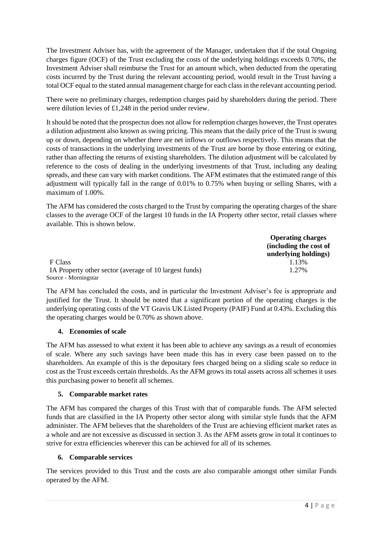The Investment Adviser has, with the agreement of the Manager, undertaken that if the total Ongoing charges figure (OCF) of the Trust excluding the costs of the underlying holdings exceeds 0.70%, the Investment Adviser shall reimburse the Trust for an amount which, when deducted from the operating costs incurred by the Trust during the relevant accounting period, would result in the Trust having a total OCF equal to the stated annual management charge for each class in the relevant accounting period.

There were no preliminary charges, redemption charges paid by shareholders during the period. There were dilution levies of £1,248 in the period under review.

It should be noted that the prospectus does not allow for redemption charges however, the Trust operates a dilution adjustment also known as swing pricing. This means that the daily price of the Trust is swung up or down, depending on whether there are net inflows or outflows respectively. This means that the costs of transactions in the underlying investments of the Trust are borne by those entering or exiting, rather than affecting the returns of existing shareholders. The dilution adjustment will be calculated by reference to the costs of dealing in the underlying investments of that Trust, including any dealing spreads, and these can vary with market conditions. The AFM estimates that the estimated range of this adjustment will typically fall in the range of 0.01% to 0.75% when buying or selling Shares, with a maximum of 1.00%.

The AFM has considered the costs charged to the Trust by comparing the operating charges of the share classes to the average OCF of the largest 10 funds in the IA Property other sector, retail classes where available. This is shown below.

|                                                        | <b>Operating charges</b> |
|--------------------------------------------------------|--------------------------|
|                                                        | (including the cost of   |
|                                                        | underlying holdings)     |
| F Class                                                | 1.13%                    |
| IA Property other sector (average of 10 largest funds) | 1.27%                    |
| Source - Morningstar                                   |                          |

The AFM has concluded the costs, and in particular the Investment Adviser's fee is appropriate and justified for the Trust. It should be noted that a significant portion of the operating charges is the underlying operating costs of the VT Gravis UK Listed Property (PAIF) Fund at 0.43%. Excluding this the operating charges would be 0.70% as shown above.

## **4. Economies of scale**

The AFM has assessed to what extent it has been able to achieve any savings as a result of economies of scale. Where any such savings have been made this has in every case been passed on to the shareholders. An example of this is the depositary fees charged being on a sliding scale so reduce in cost as the Trust exceeds certain thresholds. As the AFM grows its total assets across all schemes it uses this purchasing power to benefit all schemes.

## **5. Comparable market rates**

The AFM has compared the charges of this Trust with that of comparable funds. The AFM selected funds that are classified in the IA Property other sector along with similar style funds that the AFM administer. The AFM believes that the shareholders of the Trust are achieving efficient market rates as a whole and are not excessive as discussed in section 3. As the AFM assets grow in total it continues to strive for extra efficiencies wherever this can be achieved for all of its schemes.

## **6. Comparable services**

The services provided to this Trust and the costs are also comparable amongst other similar Funds operated by the AFM.